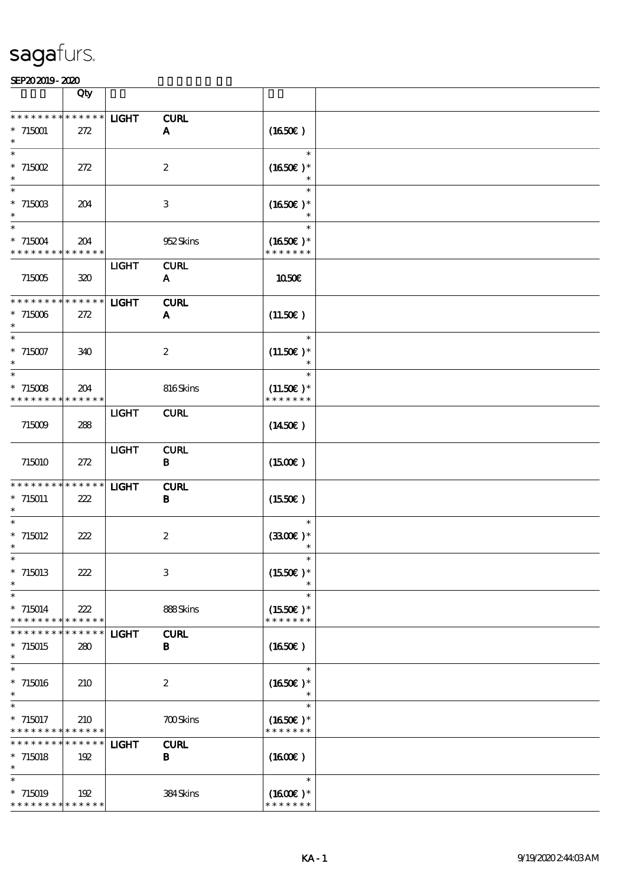|                                            | Qty                |              |                             |                             |  |
|--------------------------------------------|--------------------|--------------|-----------------------------|-----------------------------|--|
| * * * * * * *                              | $******$           |              |                             |                             |  |
| $*715001$                                  | 272                | <b>LIGHT</b> | <b>CURL</b><br>$\mathbf{A}$ | (1650)                      |  |
| $\ast$                                     |                    |              |                             |                             |  |
| $\ast$                                     |                    |              |                             | $\ast$                      |  |
| $*715002$                                  | 272                |              | $\boldsymbol{2}$            | $(1650E)*$                  |  |
| $\ast$                                     |                    |              |                             | $\ast$                      |  |
| $\ast$                                     |                    |              |                             | $\ast$                      |  |
| $* 71500B$<br>$\ast$                       | 204                |              | $\ensuremath{\mathbf{3}}$   | $(1650)$ *                  |  |
| $\ast$                                     |                    |              |                             | $\ast$                      |  |
| $* 715004$                                 | 204                |              | 952Skins                    | $(1650)$ *                  |  |
| * * * * * * * * * * * * * *                |                    |              |                             | * * * * * * *               |  |
|                                            |                    | <b>LIGHT</b> | <b>CURL</b>                 |                             |  |
| 715005                                     | 320                |              | ${\bf A}$                   | 1050E                       |  |
| * * * * * * * *                            | * * * * * *        | <b>LIGHT</b> | <b>CURL</b>                 |                             |  |
| $*715006$                                  | 272                |              | $\mathbf{A}$                | (11.50)                     |  |
| $\ast$                                     |                    |              |                             |                             |  |
| $\ast$                                     |                    |              |                             | $\ast$                      |  |
| $* 715007$                                 | 340                |              | $\boldsymbol{2}$            | $(11.50)$ *                 |  |
| $\ast$                                     |                    |              |                             | $\ast$                      |  |
| $*715008$                                  | 204                |              | 816Skins                    | $(11.50)$ *                 |  |
| * * * * * * * *                            | * * * * * *        |              |                             | * * * * * * *               |  |
|                                            |                    | <b>LIGHT</b> | <b>CURL</b>                 |                             |  |
| 715009                                     | 288                |              |                             | $(1450\epsilon)$            |  |
|                                            |                    |              |                             |                             |  |
|                                            |                    | <b>LIGHT</b> | <b>CURL</b>                 |                             |  |
| 715010                                     | 272                |              | $\mathbf{B}$                | (1500E)                     |  |
| * * * * * * * *                            | * * * * * *        | <b>LIGHT</b> | <b>CURL</b>                 |                             |  |
| $* 715011$                                 | 222                |              | В                           | (1550E)                     |  |
| $\ast$                                     |                    |              |                             |                             |  |
|                                            |                    |              |                             | $\ast$                      |  |
| $*715012$<br>$\ast$                        | 222                |              | $\boldsymbol{2}$            | $(3300)$ *                  |  |
|                                            |                    |              |                             |                             |  |
| $*715013$                                  | 222                |              | $\ensuremath{\mathbf{3}}$   | $(1550E)*$                  |  |
| $\ast$                                     |                    |              |                             |                             |  |
| $\ast$                                     |                    |              |                             | $\ast$                      |  |
| $*715014$<br>* * * * * * * *               | 222<br>* * * * * * |              | 888Skins                    | $(1550E)*$<br>* * * * * * * |  |
| * * * * * * *                              | * * * * * *        | <b>LIGHT</b> | <b>CURL</b>                 |                             |  |
| $*715015$                                  | 280                |              | $\bf{B}$                    | (1650)                      |  |
| $\ast$                                     |                    |              |                             |                             |  |
| $\ast$                                     |                    |              |                             | $\ast$                      |  |
| $*715016$<br>$\ast$                        | 210                |              | $\boldsymbol{2}$            | $(1650)$ *                  |  |
| $\ast$                                     |                    |              |                             | $\ast$                      |  |
| $* 715017$                                 | 210                |              | <b>700Skins</b>             | $(1650)$ *                  |  |
| * * * * * * * * * * * * * *                |                    |              |                             | * * * * * * *               |  |
| * * * * * * *                              | * * * * * *        | <b>LIGHT</b> | <b>CURL</b>                 |                             |  |
| $*715018$<br>$\ast$                        | 192                |              | $\, {\bf B}$                | (1600)                      |  |
| $\ast$                                     |                    |              |                             | $\ast$                      |  |
| $*715019$                                  | 192                |              | 384Skins                    | $(1600E)*$                  |  |
| * * * * * * * * <mark>* * * * * * *</mark> |                    |              |                             | * * * * * * *               |  |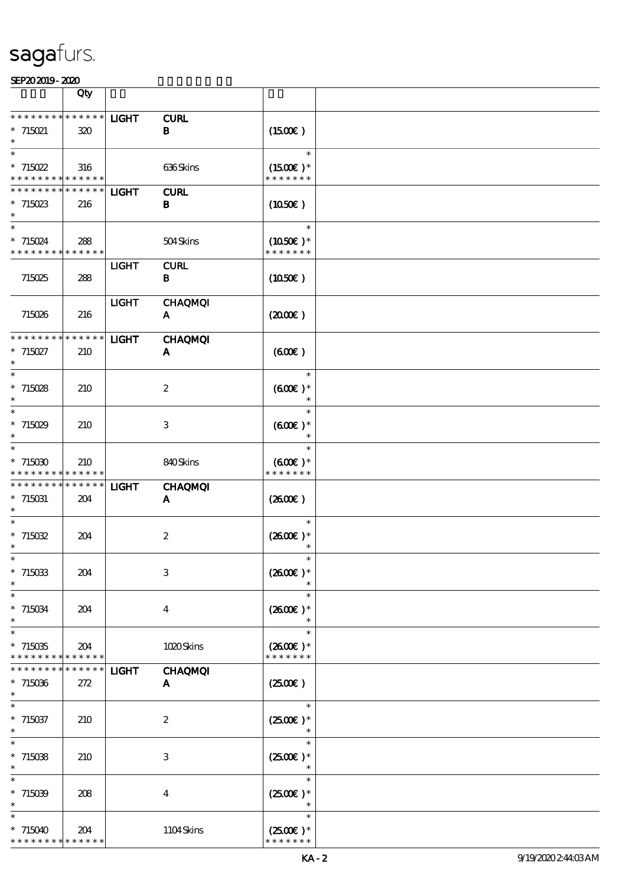|                                            | Qty         |              |                  |                     |  |
|--------------------------------------------|-------------|--------------|------------------|---------------------|--|
|                                            |             |              |                  |                     |  |
| * * * * * * * * <mark>* * * * * * *</mark> |             | <b>LIGHT</b> | <b>CURL</b>      |                     |  |
| $*715021$                                  | 320         |              | $\bf{B}$         | $(1500\varepsilon)$ |  |
| $\ast$                                     |             |              |                  | $\ast$              |  |
| $*715022$                                  | 316         |              | 636Skins         | $(1500E)*$          |  |
| * * * * * * * * <mark>* * * * * * *</mark> |             |              |                  | * * * * * * *       |  |
| * * * * * * * * * * * * * *                |             | <b>LIGHT</b> | <b>CURL</b>      |                     |  |
| $*715023$                                  | 216         |              | B                | (1050)              |  |
| $\ast$                                     |             |              |                  |                     |  |
| $\ast$                                     |             |              |                  | $\ast$              |  |
| $* 715024$                                 | 288         |              | 504Skins         | $(1050)$ *          |  |
| * * * * * * * * <mark>* * * * * *</mark>   |             |              |                  | * * * * * * *       |  |
|                                            |             | <b>LIGHT</b> | <b>CURL</b>      |                     |  |
| 715025                                     | 288         |              | B                | (1050)              |  |
|                                            |             | <b>LIGHT</b> | <b>CHAQMQI</b>   |                     |  |
| 715026                                     | 216         |              | A                | (200E)              |  |
|                                            |             |              |                  |                     |  |
| * * * * * * * * * * * * * *                |             | <b>LIGHT</b> | <b>CHAQMQI</b>   |                     |  |
| $*715027$                                  | 210         |              | A                | (600)               |  |
|                                            |             |              |                  |                     |  |
| $\ast$                                     |             |              |                  | $\ast$              |  |
| $*715028$                                  | 210         |              | $\boldsymbol{2}$ | $(600)$ *           |  |
| $\ast$                                     |             |              |                  | $\ast$              |  |
| $\ast$                                     |             |              |                  | $\ast$              |  |
| $*715029$<br>$\ast$                        | 210         |              | 3                | $(600)$ *<br>$\ast$ |  |
| $\ast$                                     |             |              |                  | $\ast$              |  |
| $*715030$                                  | 210         |              | 840Skins         | $(600)$ *           |  |
| * * * * *                                  | * * * * * * |              |                  | * * * * * * *       |  |
| * * * * * * * *                            | * * * * * * | <b>LIGHT</b> | <b>CHAQMQI</b>   |                     |  |
| $*715031$                                  | 204         |              | A                | (260E)              |  |
| $\ast$                                     |             |              |                  |                     |  |
|                                            |             |              |                  | $\ast$              |  |
| $*715032$                                  | 204         |              | $\boldsymbol{2}$ | $(2600E)*$          |  |
| $\ast$                                     |             |              |                  |                     |  |
|                                            |             |              |                  |                     |  |
| $*715033$                                  | 204         |              | $\,3\,$          | $(2600)$ *          |  |
| $\ast$                                     |             |              |                  | $\ast$              |  |
| $* 715034$                                 | 204         |              | $\bf{4}$         | $(2600E)*$          |  |
| $\ast$                                     |             |              |                  | $\ast$              |  |
| $\ast$                                     |             |              |                  | $\ast$              |  |
| $*715035$                                  | 204         |              | 1020Skins        | $(2600E)*$          |  |
| * * * * * * * *                            | * * * * * * |              |                  | * * * * * * *       |  |
| * * * * * * *                              | * * * * * * | <b>LIGHT</b> | <b>CHAQMQI</b>   |                     |  |
| $*715036$                                  | 272         |              | A                | $(2500\varepsilon)$ |  |
| $\ast$                                     |             |              |                  |                     |  |
| $\ast$                                     |             |              |                  | $\ast$              |  |
| $*715037$<br>$\ast$                        | 210         |              | $\boldsymbol{2}$ | $(2500)$ *          |  |
| $\ast$                                     |             |              |                  | $\ast$              |  |
| $*715038$                                  | 210         |              | 3                | $(2500)$ *          |  |
| $\ast$                                     |             |              |                  |                     |  |
| $\ast$                                     |             |              |                  | $\ast$              |  |
| $*715039$                                  | 208         |              | $\bf{4}$         | $(2500)$ *          |  |
|                                            |             |              |                  |                     |  |
| $\ast$                                     |             |              |                  | $\ast$              |  |
| $*715040$                                  | 204         |              | 1104Skins        | $(2500E)*$          |  |
| * * * * * * * * * * * * * *                |             |              |                  | * * * * * * *       |  |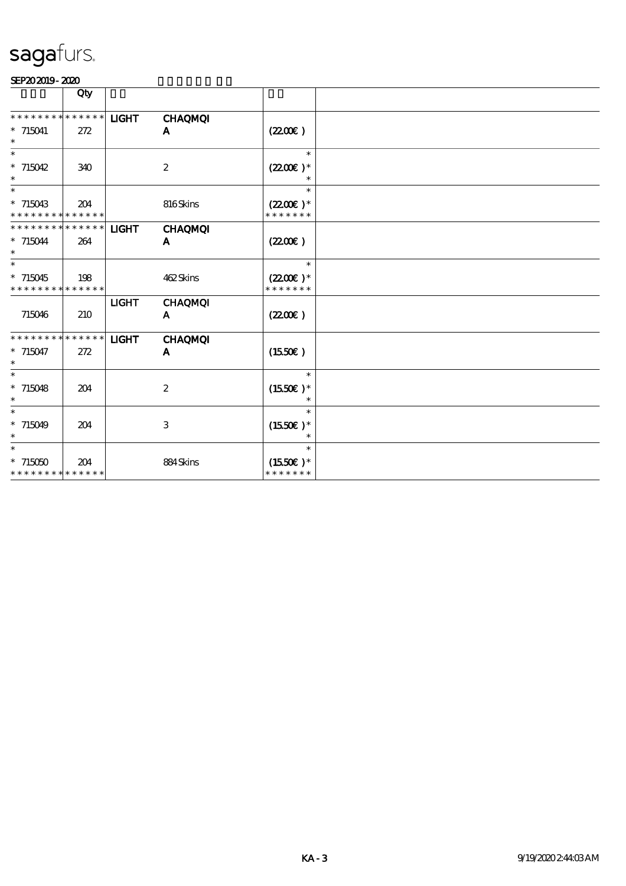|                                                    | Qty |              |                     |                                       |  |
|----------------------------------------------------|-----|--------------|---------------------|---------------------------------------|--|
| * * * * * * * * * * * * * *                        |     | <b>LIGHT</b> | <b>CHAQMQI</b>      |                                       |  |
| $*715041$<br>$\ast$                                | 272 |              | A                   | $(2200\varepsilon)$                   |  |
| $\ast$<br>$*715042$                                |     |              |                     | $\ast$                                |  |
| $\ast$                                             | 340 |              | $\boldsymbol{2}$    | $(2200)$ *                            |  |
| $\ast$<br>$*715043$<br>* * * * * * * * * * * * * * | 204 |              | 816Skins            | $\ast$<br>$(2200)$ *<br>* * * * * * * |  |
| * * * * * * * * * * * * * *                        |     | <b>LIGHT</b> | <b>CHAQMQI</b>      |                                       |  |
| $* 715044$<br>$\ast$                               | 264 |              | A                   | (220E)                                |  |
| $\ast$                                             |     |              |                     | $\ast$                                |  |
| $*715045$<br>* * * * * * * * * * * * * *           | 198 |              | 462Skins            | $(2200)$ *<br>* * * * * * *           |  |
| 715046                                             | 210 | <b>LIGHT</b> | <b>CHAQMQI</b><br>A | (220E)                                |  |
| * * * * * * * * * * * * * *<br>$* 715047$          | 272 | <b>LIGHT</b> | <b>CHAQMQI</b><br>A | $(1550\varepsilon)$                   |  |
| $\ast$                                             |     |              |                     |                                       |  |
| $\ast$<br>$* 715048$<br>$\ast$                     | 204 |              | $\boldsymbol{2}$    | $\ast$<br>$(1550E)*$                  |  |
| $\ast$<br>$* 715049$<br>$\ast$                     | 204 |              | 3                   | $\ast$<br>$(1550E)*$                  |  |
| $\ast$<br>$*715050$<br>* * * * * * * * * * * * * * | 204 |              | 884Skins            | $\ast$<br>$(1550E)*$<br>* * * * * * * |  |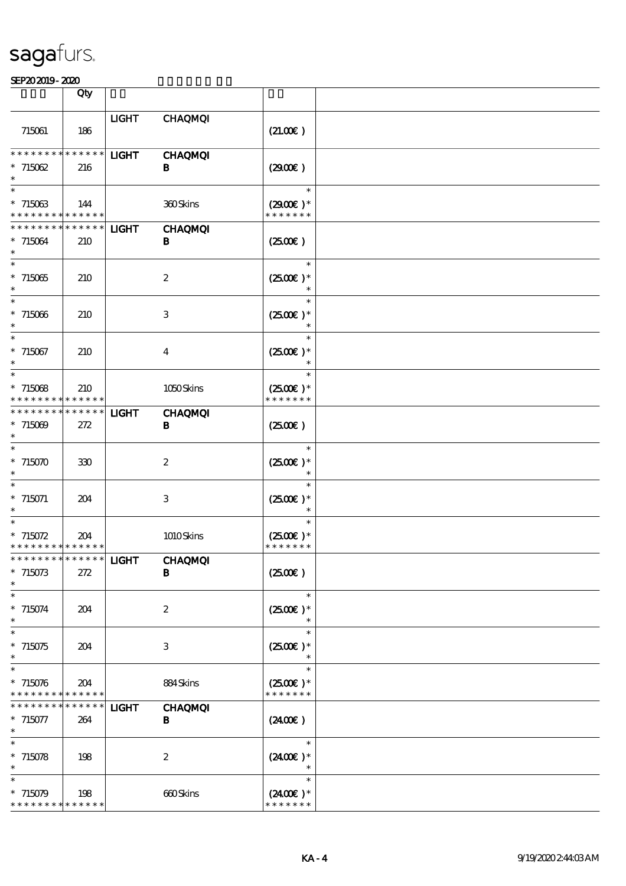|                                                                    | Qty                |              |                                |                                       |  |
|--------------------------------------------------------------------|--------------------|--------------|--------------------------------|---------------------------------------|--|
| 715061                                                             | 186                | <b>LIGHT</b> | <b>CHAQMQI</b>                 | (21.00)                               |  |
| ********<br>$*715062$<br>$\ast$                                    | $******$<br>216    | <b>LIGHT</b> | <b>CHAQMQI</b><br>B            | (2900)                                |  |
| $\ast$<br>$*715063$<br>* * * * * * * *                             | 144<br>$******$    |              | 360Skins                       | $\ast$<br>$(2900)$ *<br>* * * * * * * |  |
| * * * * * * * *<br>$*715064$<br>$\ast$<br>$\overline{\phantom{0}}$ | $******$<br>210    | <b>LIGHT</b> | <b>CHAQMQI</b><br>B            | (2500)                                |  |
| $*715065$<br>$\overline{\ast}$                                     | 210                |              | $\boldsymbol{2}$               | $\ast$<br>$(2500E)*$                  |  |
| $*715066$<br>$\ast$                                                | 210                |              | 3                              | $\ast$<br>$(2500)$ *<br>$\ast$        |  |
| $*715067$<br>$\ast$<br>$\ast$                                      | 210                |              | $\bf{4}$                       | $(2500)$ *<br>$\ast$<br>$\ast$        |  |
| $*715068$<br>* * * * * * * * * * * * * *                           | 210                |              | 1050Skins                      | $(2500)$ *<br>* * * * * * *           |  |
| * * * * * * * * * * * * * *<br>$*715009$<br>$\ast$                 | 272                | <b>LIGHT</b> | <b>CHAQMQI</b><br>В            | (2500)                                |  |
| $\ast$<br>$*715070$<br>$\ast$                                      | 330                |              | $\boldsymbol{2}$               | $\ast$<br>$(2500E)*$                  |  |
| $\ast$<br>$* 715071$                                               | 204                |              | 3                              | $\ast$<br>$(2500)$ *                  |  |
| $\ast$<br>$* 715072$<br>* * * * * * * * * * * * * *                | 204                |              | 1010Skins                      | $\ast$<br>$(2500)$ *<br>* * * * * * * |  |
| ***************   LIGHT<br>$*715073$<br>$\ast$                     | 272                |              | <b>CHAQMQI</b><br>B            | (2500)                                |  |
| $\ast$<br>$* 715074$<br>$\ast$                                     | 204                |              | $\boldsymbol{2}$               | $\ast$<br>$(2500E)*$<br>$\ast$        |  |
| $\ast$<br>$*715075$<br>$\ast$                                      | 204                |              | 3                              | $\ast$<br>$(2500)$ *                  |  |
| $\ast$<br>$*715076$<br>* * * * * * * *                             | 204<br>* * * * * * |              | 884Skins                       | $\ast$<br>$(2500E)*$<br>* * * * * * * |  |
| * * * * * * *<br>$* 715077$<br>$\ast$                              | * * * * * *<br>264 | <b>LIGHT</b> | <b>CHAQMQI</b><br>$\mathbf{B}$ | (240E)                                |  |
| $\ast$<br>$* 715078$<br>$\ast$                                     | 198                |              | $\boldsymbol{2}$               | $\ast$<br>$(2400)$ *                  |  |
| $\ast$<br>$*715079$<br>* * * * * * * * * * * * * *                 | 198                |              | 660Skins                       | $\ast$<br>$(2400E)*$<br>* * * * * * * |  |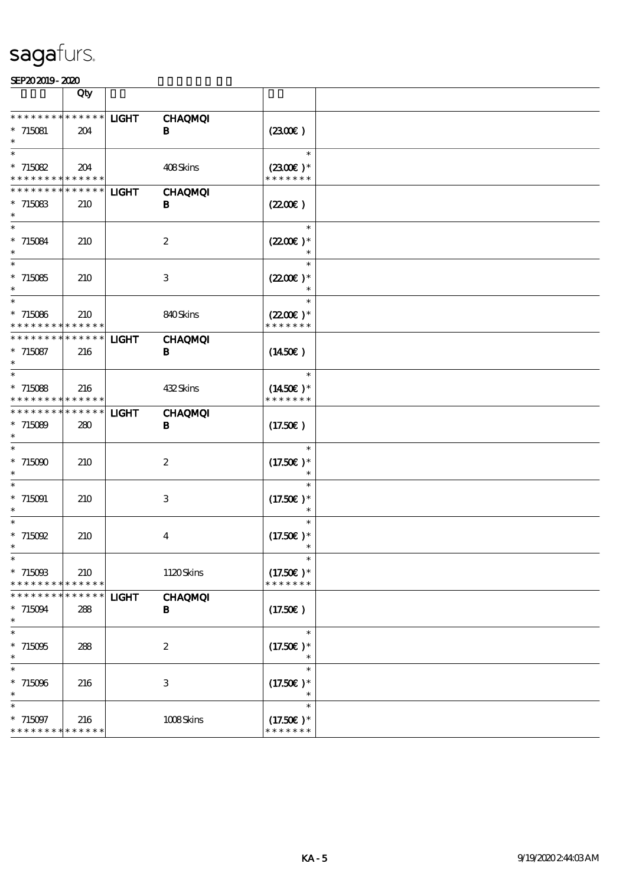|                                                                   | Qty                               |              |                             |                                                 |  |
|-------------------------------------------------------------------|-----------------------------------|--------------|-----------------------------|-------------------------------------------------|--|
| * * * * * * * * <mark>* * * * * * *</mark><br>$*715081$           | 204                               | <b>LIGHT</b> | <b>CHAQMQI</b><br>B         | (230E)                                          |  |
| $\ast$<br>$*715082$<br>* * * * * * * * <mark>* * * * * *</mark> * | 204                               |              | 408Skins                    | $\ast$<br>$(2300)$ *<br>* * * * * * *           |  |
| * * * * * * * *<br>$*715083$<br>$\ast$                            | $******$<br>210                   | <b>LIGHT</b> | <b>CHAQMQI</b><br>$\bf{B}$  | (220E)                                          |  |
| $\ast$<br>$* 715084$<br>$\ast$                                    | 210                               |              | $\boldsymbol{2}$            | $\ast$<br>$(2200)$ *                            |  |
| $\ast$<br>$*715085$<br>$\ast$<br>$\ast$                           | 210                               |              | 3                           | $\ast$<br>$(220E)^*$                            |  |
| $*715086$<br>* * * * * * * *                                      | 210<br>* * * * * *                |              | 840Skins                    | $\ast$<br>$(2200\varepsilon)*$<br>* * * * * * * |  |
| * * * * * * * *<br>$* 715087$<br>$\ast$                           | $******$<br>216                   | <b>LIGHT</b> | <b>CHAQMQI</b><br>B         | (1450E)<br>$\ast$                               |  |
| $*715088$<br>* * * * * * * *<br>* * * * * * * *                   | 216<br>* * * * * *<br>* * * * * * |              | 432Skins                    | $(1450E)*$<br>* * * * * * *                     |  |
| $*715089$<br>$\ast$<br>$\ast$                                     | 280                               | <b>LIGHT</b> | <b>CHAQMQI</b><br>$\bf{B}$  | (17.50)<br>$\ast$                               |  |
| $*715000$<br>$\ast$<br>$\ast$                                     | 210                               |              | $\boldsymbol{2}$            | $(17.50)$ *<br>$\ast$                           |  |
| $*715091$<br>$\ast$<br>$\ast$                                     | 210                               |              | 3                           | $(17.50)$ *                                     |  |
| * 715092<br>$\ast$<br>∗                                           | 210                               |              | $\bf{4}$                    | $(17.50)$ *                                     |  |
| $*715003$<br>* * * * * * * *<br>* * * * * * * *                   | 210<br>* * * * * *<br>* * * * * * | <b>LIGHT</b> | 1120Skins<br><b>CHAQMQI</b> | $(17.50)$ *<br>* * * * * * *                    |  |
| $* 715094$<br>$\ast$<br>$\ast$                                    | 288                               |              | B                           | (17.50)<br>$\ast$                               |  |
| $*715095$<br>$\ast$<br>$\ast$                                     | 288                               |              | $\boldsymbol{2}$            | $(17.50)$ *<br>$\ast$<br>$\ast$                 |  |
| $*715096$<br>$\ast$<br>$\ast$                                     | 216                               |              | $\ensuremath{\mathbf{3}}$   | $(17.50)$ *<br>$\ast$<br>$\ast$                 |  |
| $* 715097$<br>* * * * * * * * <mark>* * * * * * *</mark>          | 216                               |              | 1008Skins                   | $(17.50)$ *<br>* * * * * * *                    |  |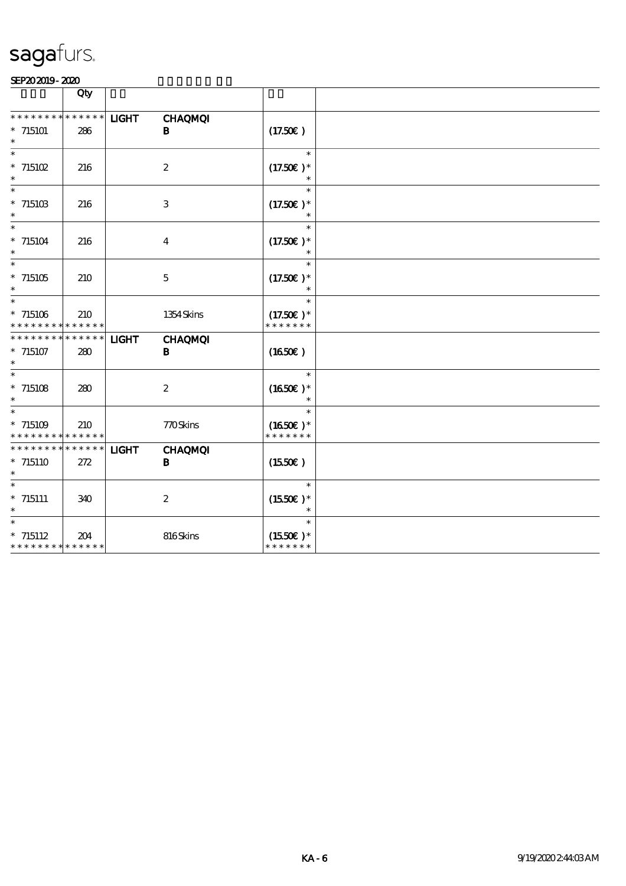|                                                                | Qty                    |              |                                |                                        |  |
|----------------------------------------------------------------|------------------------|--------------|--------------------------------|----------------------------------------|--|
| * * * * * * * *<br>$*715101$<br>$\ast$                         | * * * * * *<br>286     | <b>LIGHT</b> | <b>CHAQMQI</b><br>B            | (17.50E)                               |  |
| $*$ 715102                                                     | 216                    |              | $\boldsymbol{2}$               | $(17.50)$ *                            |  |
| $*$ 715103<br>$\ast$                                           | 216                    |              | $\ensuremath{\mathbf{3}}$      | $\ast$<br>$(17.50)$ *                  |  |
| $\ast$<br>$* 715104$<br>$\ast$                                 | 216                    |              | $\overline{\mathbf{4}}$        | $\ast$<br>$(17.50)$ *<br>$\ast$        |  |
| $\ast$<br>$*$ 715105<br>$\ast$                                 | 210                    |              | $\bf 5$                        | $\ast$<br>$(17.50)$ *<br>$\ast$        |  |
| $\ast$<br>$*$ 715106<br>* * * * * * * * *                      | 210<br>$* * * * * * *$ |              | 1354 Skins                     | $\ast$<br>$(17.50)$ *<br>* * * * * * * |  |
| * * * * * * * *<br>$* 715107$<br>$\ast$                        | $******$<br>280        | <b>LIGHT</b> | <b>CHAQMQI</b><br>B            | (1650)                                 |  |
| $\ast$<br>$*$ 715108<br>$\ast$                                 | 280                    |              | $\boldsymbol{2}$               | $\ast$<br>$(1650E)*$                   |  |
| $\ast$<br>$*715109$<br>* * * * * * * *                         | 210<br>$* * * * * * *$ |              | 770Skins                       | $\ast$<br>$(1650)$ *<br>* * * * * * *  |  |
| * * * * * * *<br>$*$ 715110                                    | * * * * * *<br>272     | <b>LIGHT</b> | <b>CHAQMQI</b><br>$\, {\bf B}$ | (1550E)                                |  |
| $\overline{\ast}$<br>$*$ 715111                                | 340                    |              | $\boldsymbol{2}$               | $\ast$<br>$(1550E)*$                   |  |
| $\overline{\ast}$<br>$* 715112$<br>* * * * * * * * * * * * * * | 204                    |              | 816Skins                       | $\ast$<br>$(1550E)*$<br>* * * * * * *  |  |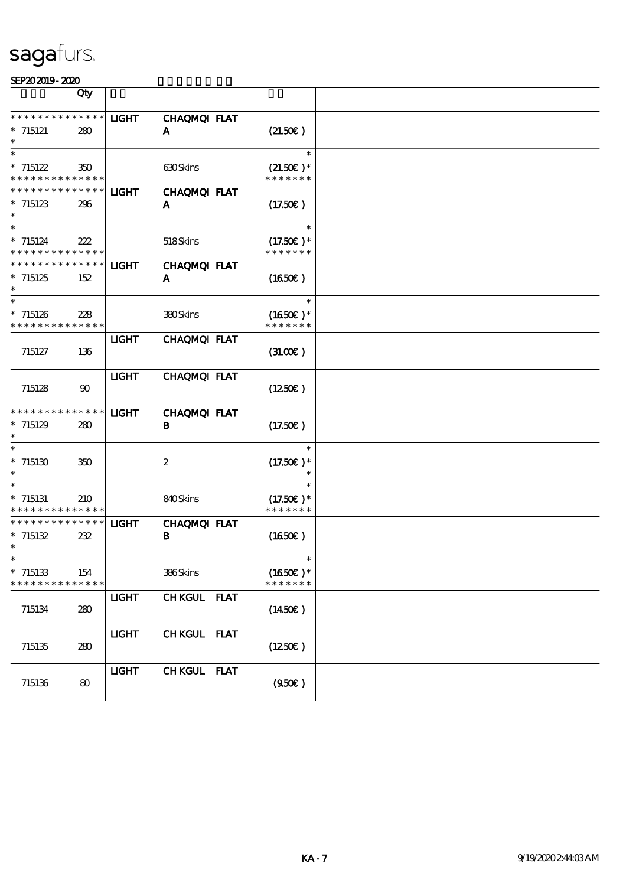|                                            | Qty                   |              |                     |                  |  |
|--------------------------------------------|-----------------------|--------------|---------------------|------------------|--|
| * * * * * * * * * * * * * *                |                       |              |                     |                  |  |
|                                            |                       | <b>LIGHT</b> | <b>CHAQMQI FLAT</b> |                  |  |
| $* 715121$                                 | 280                   |              | A                   | (21.50)          |  |
|                                            |                       |              |                     |                  |  |
| $\ast$                                     |                       |              |                     | $\ast$           |  |
| $* 715122$                                 | 350                   |              | <b>630Skins</b>     | $(21.50)$ *      |  |
| * * * * * * * * <mark>* * * * * *</mark> * |                       |              |                     | * * * * * * *    |  |
|                                            |                       |              |                     |                  |  |
| * * * * * * * * * * * * * *                |                       | <b>LIGHT</b> | CHAQMQI FLAT        |                  |  |
| $* 715123$                                 | 296                   |              | A                   | (17.50)          |  |
|                                            |                       |              |                     |                  |  |
| $\ast$                                     |                       |              |                     | $\ast$           |  |
|                                            |                       |              |                     |                  |  |
| $* 715124$                                 | 222                   |              | 518Skins            | $(17.50)$ *      |  |
| * * * * * * * * <mark>* * * * * *</mark>   |                       |              |                     | * * * * * * *    |  |
| * * * * * * * * * * * * * *                |                       | <b>LIGHT</b> | CHAQMQI FLAT        |                  |  |
| $*715125$                                  | 152                   |              | A                   | (1650)           |  |
| $\ast$                                     |                       |              |                     |                  |  |
| $\ast$                                     |                       |              |                     | $\ast$           |  |
|                                            |                       |              |                     |                  |  |
| $*715126$                                  | 228                   |              | 380Skins            | $(1650)$ *       |  |
| * * * * * * * * <mark>* * * * * *</mark>   |                       |              |                     | * * * * * * *    |  |
|                                            |                       | <b>LIGHT</b> | CHAQMQI FLAT        |                  |  |
| 715127                                     | 136                   |              |                     | (31.00)          |  |
|                                            |                       |              |                     |                  |  |
|                                            |                       |              |                     |                  |  |
|                                            |                       | <b>LIGHT</b> | CHAQMQI FLAT        |                  |  |
| 715128                                     | $\boldsymbol{\omega}$ |              |                     | $(1250\epsilon)$ |  |
|                                            |                       |              |                     |                  |  |
| * * * * * * * * * * * * * *                |                       | <b>LIGHT</b> | CHAQMQI FLAT        |                  |  |
|                                            |                       |              |                     |                  |  |
| $*715129$                                  | 280                   |              | В                   | (17.50)          |  |
|                                            |                       |              |                     |                  |  |
| $\ast$                                     |                       |              |                     | $\ast$           |  |
| $*$ 715130                                 | 350                   |              | $\boldsymbol{2}$    | $(17.50)$ *      |  |
| $\ast$                                     |                       |              |                     |                  |  |
| $\ast$                                     |                       |              |                     |                  |  |
|                                            |                       |              |                     |                  |  |
| $*715131$                                  | 210                   |              | 840Skins            | $(17.50)$ *      |  |
| * * * * * * * * <mark>* * * * * *</mark>   |                       |              |                     | * * * * * * *    |  |
| * * * * * * * *                            | * * * * * *           | <b>LIGHT</b> | CHAQMQI FLAT        |                  |  |
| $* 715132$                                 | 232                   |              | В                   | (1650)           |  |
| $\ast$                                     |                       |              |                     |                  |  |
|                                            |                       |              |                     |                  |  |
|                                            |                       |              |                     |                  |  |
| $*715133$                                  | 154                   |              | 386Skins            | $(1650E)*$       |  |
| * * * * * * * * * * * * * *                |                       |              |                     | * * * * * * *    |  |
|                                            |                       | <b>LIGHT</b> | CHKGUL FLAT         |                  |  |
|                                            |                       |              |                     |                  |  |
| 715134                                     | 280                   |              |                     | $(1450\epsilon)$ |  |
|                                            |                       |              |                     |                  |  |
|                                            |                       | <b>LIGHT</b> | CHKGUL FLAT         |                  |  |
| 715135                                     | 280                   |              |                     | (1250E)          |  |
|                                            |                       |              |                     |                  |  |
|                                            |                       |              |                     |                  |  |
|                                            |                       | <b>LIGHT</b> | CHKGUL FLAT         |                  |  |
| 715136                                     | 80                    |              |                     | (950)            |  |
|                                            |                       |              |                     |                  |  |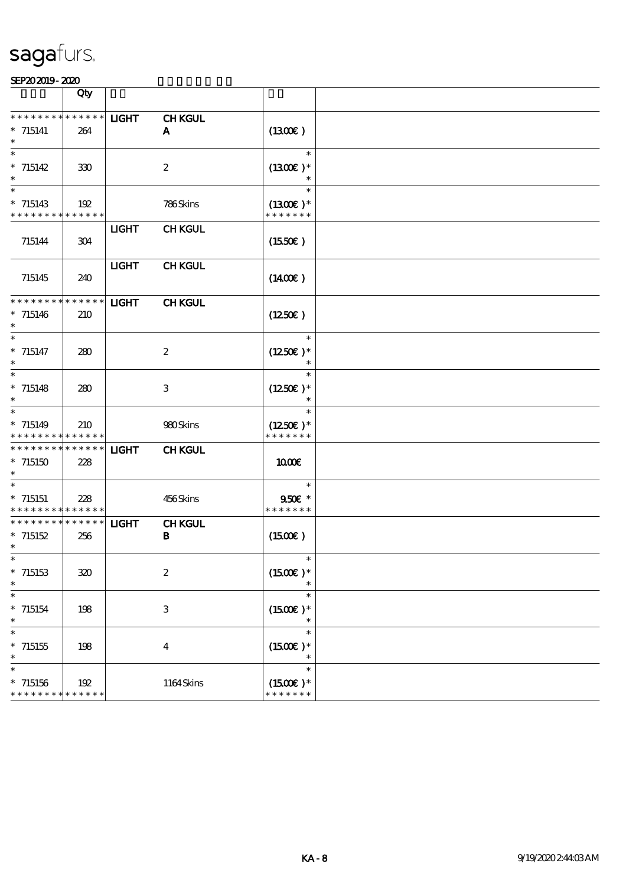|                                                                   | Qty                |              |                               |                                       |  |
|-------------------------------------------------------------------|--------------------|--------------|-------------------------------|---------------------------------------|--|
| * * * * * * * * * * * * * *<br>$* 715141$                         | 264                | <b>LIGHT</b> | <b>CHKGUL</b><br>A            | (1300)                                |  |
| $\ast$<br>$* 715142$<br>$\ast$                                    | 330                |              | $\boldsymbol{2}$              | $\ast$<br>$(1300E)*$<br>$\ast$        |  |
| $\ast$<br>$* 715143$<br>* * * * * * * * * * * * * *               | 192                |              | 786Skins                      | $\ast$<br>$(1300E)*$<br>* * * * * * * |  |
| 715144                                                            | 304                | <b>LIGHT</b> | <b>CHKGUL</b>                 | $(1550\varepsilon)$                   |  |
| 715145                                                            | 240                | <b>LIGHT</b> | <b>CHKGUL</b>                 | $(1400\varepsilon)$                   |  |
| * * * * * * * *<br>$* 715146$<br>$\ast$                           | * * * * * *<br>210 | <b>LIGHT</b> | <b>CHKGUL</b>                 | $(1250\epsilon)$                      |  |
| $\ast$<br>$* 715147$                                              | 280                |              | $\boldsymbol{2}$              | $\ast$<br>$(1250)$ *                  |  |
| $\overline{\ast}$<br>$* 715148$<br>$\ast$                         | 280                |              | 3                             | $\ast$<br>$(1250E)*$<br>$\ast$        |  |
| $\ast$<br>$* 715149$<br>* * * * * * * * <mark>* * * * * *</mark>  | 210                |              | 980Skins                      | $\ast$<br>$(1250E)*$<br>* * * * * * * |  |
| * * * * * * * * * * * * * *<br>$*715150$<br>$\ast$                | 228                | <b>LIGHT</b> | <b>CHKGUL</b>                 | 1000E                                 |  |
| $\ast$<br>$*715151$<br>* * * * * * * * <mark>* * * * * * *</mark> | 228                |              | 456Skins                      | $\ast$<br>$950f$ *<br>* * * * * * *   |  |
| * * * * * * * * * * * * * *<br>$*715152$<br>$\ast$                | 256                | <b>LIGHT</b> | <b>CHKGUL</b><br>$\, {\bf B}$ | $(1500\varepsilon)$                   |  |
| $*715153$<br>$\ast$                                               | 320                |              | $\boldsymbol{2}$              | $\ast$<br>$(1500E)*$                  |  |
| $\ast$<br>$*$ 715154<br>$\ast$                                    | 198                |              | $\,3$                         | $\ast$<br>$(1500E)*$<br>$\ast$        |  |
| $\ast$<br>$*$ 715155<br>$\ast$                                    | 198                |              | $\bf{4}$                      | $\ast$<br>$(1500E)*$<br>$\ast$        |  |
| $\ast$<br>$*715156$<br>* * * * * * * * * * * * * *                | 192                |              | 1164Skins                     | $\ast$<br>$(1500E)*$<br>* * * * * * * |  |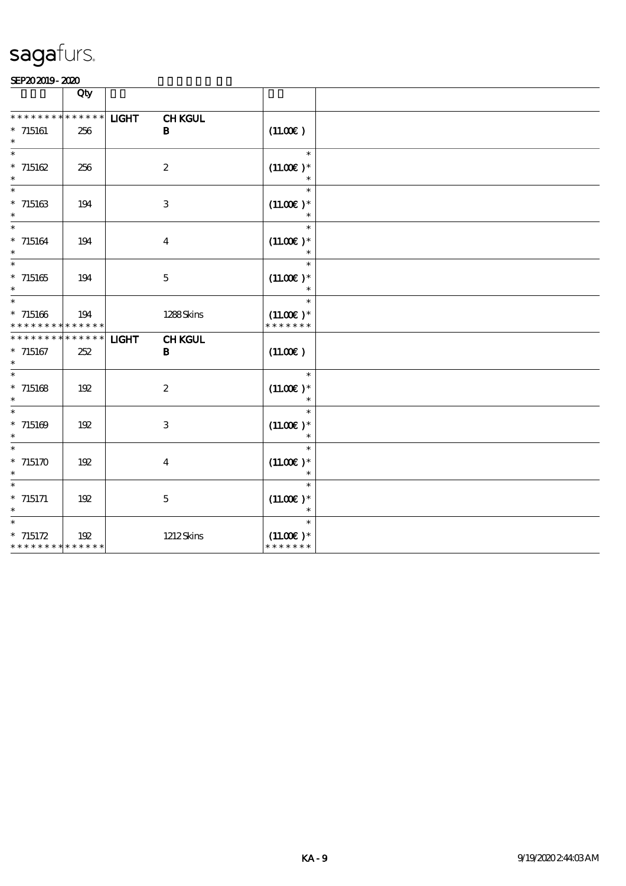|                                                                       | Qty                    |              |                              |                                             |  |
|-----------------------------------------------------------------------|------------------------|--------------|------------------------------|---------------------------------------------|--|
| * * * * * * * *<br>$*$ 715161<br>$\ast$                               | * * * * * *<br>256     | <b>LIGHT</b> | <b>CHKGUL</b><br>$\mathbf B$ | (11.00)                                     |  |
| $\ast$<br>$* 715162$<br>$\ast$                                        | 256                    |              | $\boldsymbol{2}$             | $\ast$<br>$(11.00)$ *                       |  |
| $\ast$<br>$*$ 715163<br>$\ast$                                        | 194                    |              | $\,3$                        | $\ast$<br>$(11.00)$ *                       |  |
| $\ast$<br>$*$ 715164<br>$\ast$                                        | 194                    |              | $\bf{4}$                     | $\ast$<br>$(11.00)$ *<br>$\ast$             |  |
| $\ast$<br>$*715165$<br>$\ast$                                         | 194                    |              | $\mathbf 5$                  | $\ast$<br>$(11.00)$ *                       |  |
| $\ast$<br>$* 715166$<br>* * * * * * * * <mark>* * * * * * *</mark>    | 194                    |              | 1288Skins                    | $\ast$<br>$(11.00)$ *<br>* * * * * * *      |  |
| * * * * * * * *<br>$*$ 715167<br>$\ast$                               | $* * * * * * *$<br>252 | <b>LIGHT</b> | <b>CHKGUL</b><br>B           | (11.00)                                     |  |
| $\ast$<br>$* 715168$<br>$\ast$                                        | 192                    |              | $\boldsymbol{2}$             | $\ast$<br>$(11.00)$ *                       |  |
| $\ast$<br>$* 715169$<br>$\ast$                                        | 192                    |              | 3                            | $\ast$<br>$(11.00)$ *                       |  |
| $\ast$<br>$* 715170$<br>$\ast$                                        | 192                    |              | $\bf{4}$                     | $\ast$<br>$(11.00)$ *                       |  |
| $\ast$<br>$* 715171$                                                  | 192                    |              | $\mathbf 5$                  | $\ast$<br>$(11.00)$ *                       |  |
| $\overline{\phantom{1}}$<br>$* 715172$<br>* * * * * * * * * * * * * * | 192                    |              | <b>1212Skins</b>             | $\ast$<br>$(11.00E)*$<br>.<br>* * * * * * * |  |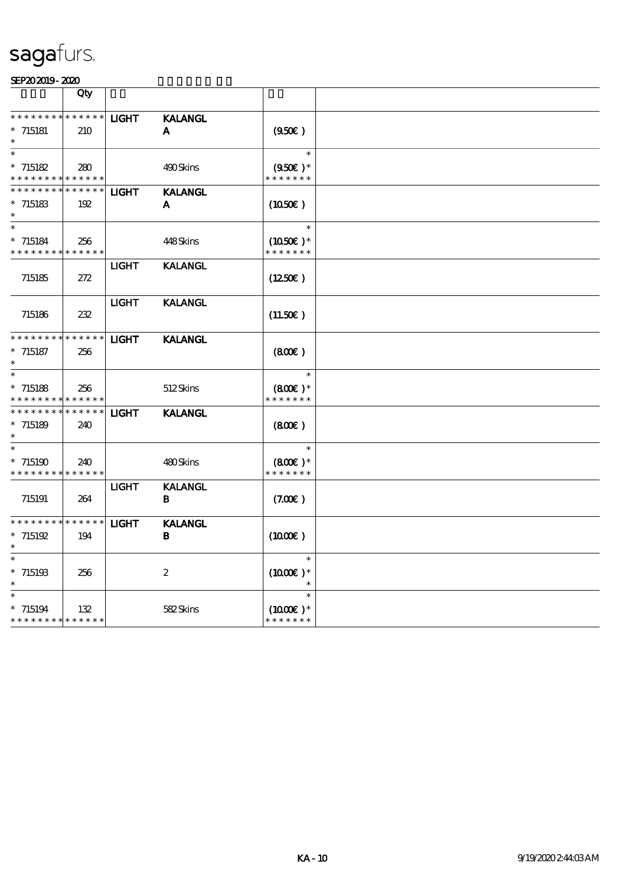|                                                                    | Qty                |              |                     |                                              |  |
|--------------------------------------------------------------------|--------------------|--------------|---------------------|----------------------------------------------|--|
| * * * * * * * * * * * * * *<br>$*715181$                           | 210                | <b>LIGHT</b> | <b>KALANGL</b><br>A | (950)                                        |  |
| $\ast$<br>$* 715182$<br>* * * * * * * * <mark>* * * * * * *</mark> | 280                |              | 490Skins            | $\ast$<br>$(950\epsilon)^*$<br>* * * * * * * |  |
| * * * * * * * *<br>$* 715183$                                      | * * * * * *<br>192 | <b>LIGHT</b> | <b>KALANGL</b><br>A | (1050)                                       |  |
| $\ast$<br>$* 715184$<br>* * * * * * * * <mark>* * * * * * *</mark> | 256                |              | 448Skins            | $\ast$<br>$(1050)$ *<br>* * * * * * *        |  |
| 715185                                                             | 272                | <b>LIGHT</b> | <b>KALANGL</b>      | (1250E)                                      |  |
| 715186                                                             | 232                | <b>LIGHT</b> | <b>KALANGL</b>      | (11.50)                                      |  |
| * * * * * * * *<br>$*$ 715187                                      | * * * * * *<br>256 | <b>LIGHT</b> | <b>KALANGL</b>      | (800)                                        |  |
| $\ast$<br>$*$ 715188<br>* * * * * * * *                            | 256<br>* * * * * * |              | 512Skins            | $\ast$<br>$(800)$ *<br>* * * * * * *         |  |
| * * * *<br>$*715189$                                               | * * * * * *<br>240 | <b>LIGHT</b> | <b>KALANGL</b>      | (800)                                        |  |
| $*715190$<br>* * * * * * * * * * * * * *                           | 240                |              | 480Skins            | $(800)$ *<br>* * * * * * *                   |  |
| 715191                                                             | 264                | <b>LIGHT</b> | <b>KALANGL</b><br>B | (7.00)                                       |  |
| * * * * * * * * <mark>* * * * * * *</mark><br>$* 715192$           | 194                | <b>LIGHT</b> | <b>KALANGL</b><br>B | $(1000\varepsilon)$                          |  |
| $\ast$<br>$*$ 715198<br>$\ast$                                     | 256                |              | $\boldsymbol{2}$    | $(1000E)*$                                   |  |
| $* 715194$<br>* * * * * * * * * * * * * *                          | 132                |              | 582Skins            | $\ast$<br>$(1000E)^*$<br>* * * * * * *       |  |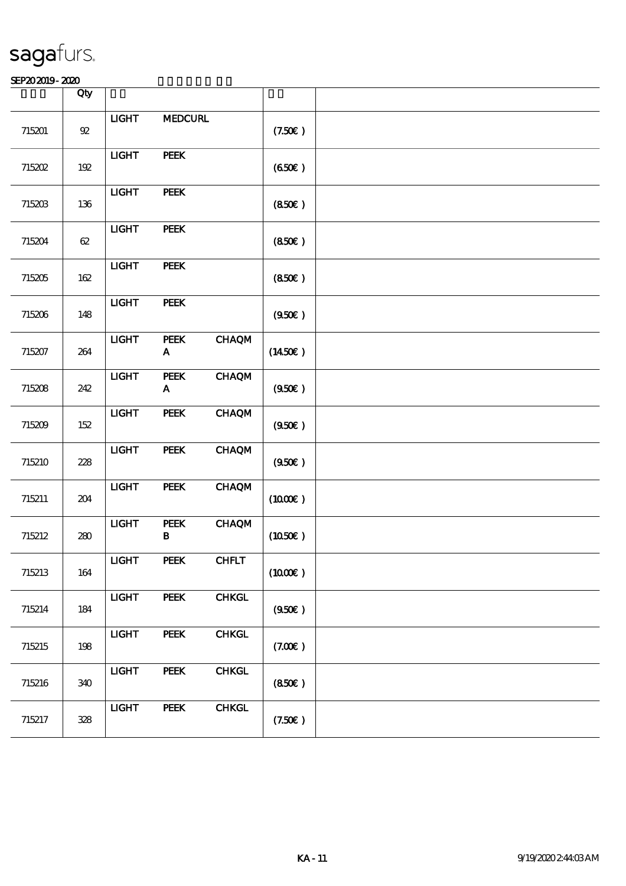|        | Qty    |                |                                   |              |                     |  |
|--------|--------|----------------|-----------------------------------|--------------|---------------------|--|
| 715201 | $92\,$ | $LIGHT$        | <b>MEDCURL</b>                    |              | (7.50)              |  |
| 715202 | 192    | <b>LIGHT</b>   | PEEK                              |              | (650)               |  |
| 715203 | 136    | <b>LIGHT</b>   | PEEK                              |              | (850)               |  |
| 715204 | $62\,$ | <b>LIGHT</b>   | PEEK                              |              | (850)               |  |
| 715205 | 162    | <b>LIGHT</b>   | PEEK                              |              | (850)               |  |
| 715206 | 148    | $1 1 1 1$      | PEEK                              |              | (950)               |  |
| 715207 | 264    | <b>LIGHT</b>   | PEEK<br>$\mathbf A$               | <b>CHAQM</b> | (1450E)             |  |
| 715208 | 242    | <b>LIGHT</b>   | PEEK<br>$\boldsymbol{\mathsf{A}}$ | <b>CHAQM</b> | (950)               |  |
| 715209 | 152    | <b>LIGHT</b>   | PEEK                              | <b>CHAQM</b> | (950)               |  |
| 715210 | 228    | $LIGHT$        | PEEK                              | <b>CHAQM</b> | (950)               |  |
| 715211 | 204    | <b>LIGHT</b>   | <b>PEEK</b>                       | <b>CHAQM</b> | (1000E)             |  |
| 715212 | $280$  | $_{\rm IIGHT}$ | ${\bf PELK}$<br>$\, {\bf B}$      | <b>CHAQM</b> | (1050)              |  |
| 715213 | 164    | $_{\rm IIGHT}$ | PEEK                              | <b>CHFLT</b> | $(1000\varepsilon)$ |  |
| 715214 | 184    | <b>LIGHT</b>   | PEEK                              | <b>CHKGL</b> | (950)               |  |
| 715215 | 198    | <b>LIGHT</b>   | PEEK                              | <b>CHKGL</b> | (7.00)              |  |
| 715216 | 340    | <b>LIGHT</b>   | PEEK                              | <b>CHKGL</b> | (850)               |  |
| 715217 | 328    | <b>LIGHT</b>   | <b>PEEK</b>                       | <b>CHKGL</b> | (7.50)              |  |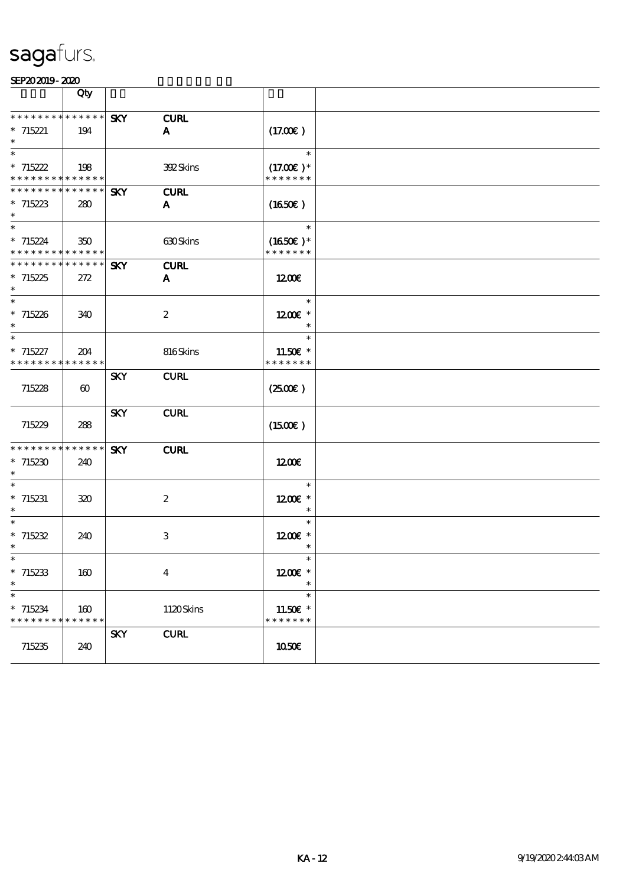|                                            | Qty                   |            |                  |                           |  |
|--------------------------------------------|-----------------------|------------|------------------|---------------------------|--|
| * * * * * * * * * * * * * * *              |                       | <b>SKY</b> | <b>CURL</b>      |                           |  |
| $*715221$                                  | 194                   |            | A                | (17.00)                   |  |
|                                            |                       |            |                  |                           |  |
| $\ast$                                     |                       |            |                  | $\ast$                    |  |
| $*715222$                                  | 198                   |            | 392Skins         | $(17.00)$ *               |  |
| * * * * * * * * <mark>* * * * * *</mark> * |                       |            |                  | * * * * * * *             |  |
| * * * * * * * * * * * * * * *              |                       | <b>SKY</b> | <b>CURL</b>      |                           |  |
| $*715223$                                  | 280                   |            | A                | (1650E)                   |  |
|                                            |                       |            |                  |                           |  |
| $\ast$                                     |                       |            |                  | $\ast$                    |  |
| $*715224$                                  | 350                   |            | 630Skins         | $(1650)$ *                |  |
| * * * * * * * * * * * * * *                |                       |            |                  | * * * * * * *             |  |
| * * * * * * * * * * * * * * *              |                       | <b>SKY</b> | <b>CURL</b>      |                           |  |
| $*715225$                                  | 272                   |            | A                | 1200E                     |  |
| $\ast$                                     |                       |            |                  |                           |  |
| $\ast$                                     |                       |            |                  | $\ast$                    |  |
| $*715226$                                  | 340                   |            | $\boldsymbol{2}$ | 1200E *                   |  |
| $\ast$                                     |                       |            |                  |                           |  |
| $\overline{\phantom{0}}$                   |                       |            |                  | $\ast$                    |  |
| $*715227$                                  | 204                   |            | 816Skins         | 11.50E *                  |  |
| * * * * * * * * <mark>* * * * * *</mark>   |                       |            |                  | * * * * * * *             |  |
|                                            |                       | <b>SKY</b> | <b>CURL</b>      |                           |  |
| 715228                                     | $\boldsymbol{\omega}$ |            |                  | (250)                     |  |
|                                            |                       |            |                  |                           |  |
|                                            |                       | <b>SKY</b> | <b>CURL</b>      |                           |  |
| 715229                                     | 288                   |            |                  | $(1500\varepsilon)$       |  |
|                                            |                       |            |                  |                           |  |
| * * * * * * * * * * * * * *                |                       | <b>SKY</b> | <b>CURL</b>      |                           |  |
| $*715230$                                  | 240                   |            |                  | 1200                      |  |
| $\ast$                                     |                       |            |                  |                           |  |
| $\ast$                                     |                       |            |                  | $\ast$                    |  |
| $*715231$                                  | 320                   |            | $\boldsymbol{2}$ | 1200E *                   |  |
| $\ast$<br>$\ast$                           |                       |            |                  | $\ast$                    |  |
|                                            |                       |            |                  | $\ast$                    |  |
| $*715232$<br>$\ast$                        | 240                   |            | 3                | 1200E *                   |  |
| ∗                                          |                       |            |                  |                           |  |
|                                            |                       |            |                  | 1200€ *                   |  |
| $*715233$<br>$\ast$                        | 160                   |            | $\boldsymbol{4}$ |                           |  |
| $\overline{\phantom{0}}$                   |                       |            |                  | $\ast$                    |  |
|                                            |                       |            |                  |                           |  |
| $*715234$<br>* * * * * * * * * * * * * *   | 160                   |            | 1120Skins        | 11.50€ *<br>* * * * * * * |  |
|                                            |                       | <b>SKY</b> | <b>CURL</b>      |                           |  |
| 715235                                     | 240                   |            |                  | 1050€                     |  |
|                                            |                       |            |                  |                           |  |
|                                            |                       |            |                  |                           |  |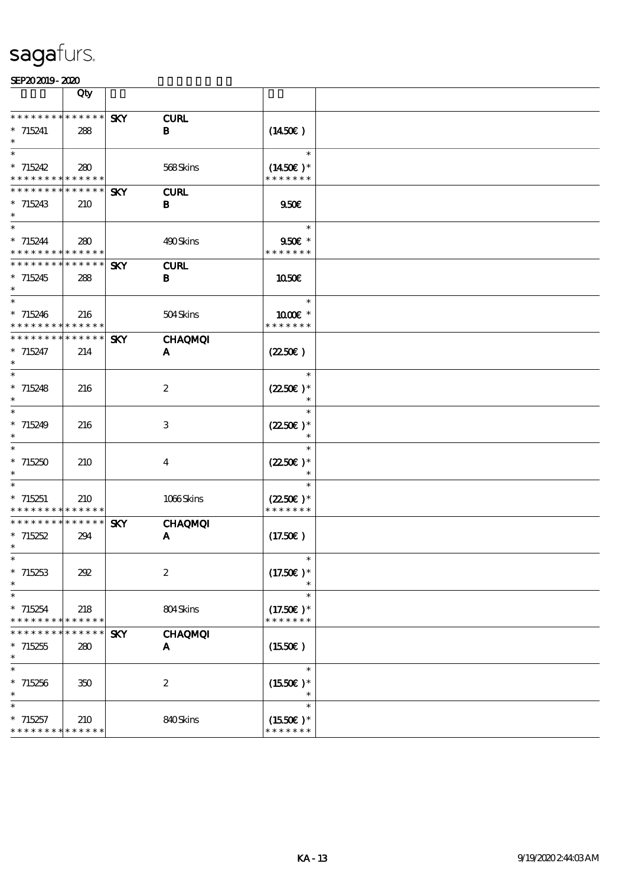|                                                          | Qty                        |            |                  |                              |  |
|----------------------------------------------------------|----------------------------|------------|------------------|------------------------------|--|
| * * * * * * * *                                          | $******$                   | <b>SKY</b> | <b>CURL</b>      |                              |  |
| $*715241$                                                | 288                        |            | B                | $(1450\varepsilon)$          |  |
| $\ast$                                                   |                            |            |                  |                              |  |
| $\ast$                                                   |                            |            |                  | $\ast$                       |  |
| $*715242$<br>* * * * * * * * <mark>* * * * * *</mark>    | 280                        |            | 568Skins         | $(1450E)*$<br>* * * * * * *  |  |
| * * * * * * * *                                          | * * * * * *                | <b>SKY</b> | <b>CURL</b>      |                              |  |
| $* 715243$                                               | 210                        |            | В                | 950E                         |  |
| $\ast$                                                   |                            |            |                  |                              |  |
| $\ast$                                                   |                            |            |                  | $\ast$                       |  |
| $* 715244$<br>* * * * * * * * <mark>* * * * * *</mark> * | 280                        |            | 490Skins         | 950€ *<br>* * * * * * *      |  |
| * * * * * * * *                                          | $\ast\ast\ast\ast\ast\ast$ | <b>SKY</b> | <b>CURL</b>      |                              |  |
| $*715245$                                                | 288                        |            | $\bf{B}$         | 1050€                        |  |
| $\ast$                                                   |                            |            |                  |                              |  |
| $\ast$                                                   |                            |            |                  | $\ast$                       |  |
| $*715246$<br>* * * * * * * *                             | 216<br>* * * * * *         |            | 504Skins         | 1000 *<br>* * * * * * *      |  |
| * * * * * * * *                                          | $* * * * * * *$            | <b>SKY</b> | <b>CHAQMQI</b>   |                              |  |
| $* 715247$                                               | 214                        |            | A                | (2250)                       |  |
| $\ast$                                                   |                            |            |                  |                              |  |
| $\ast$                                                   |                            |            |                  | $\ast$                       |  |
| $*715248$<br>$\ast$                                      | 216                        |            | $\boldsymbol{2}$ | $(2250\epsilon)*$            |  |
| $\ast$                                                   |                            |            |                  | $\ast$                       |  |
| $* 715249$                                               | 216                        |            | 3                | $(2250\varepsilon)*$         |  |
| $\ast$                                                   |                            |            |                  | $\ast$                       |  |
| $\ast$                                                   |                            |            |                  | $\ast$                       |  |
| $*715250$<br>$\ast$                                      | 210                        |            | $\bf{4}$         | $(2250\text{E})*$<br>$\ast$  |  |
| $\ast$                                                   |                            |            |                  | $\ast$                       |  |
| $*715251$                                                | 210                        |            | 1066Skins        | $(2250\text{E})*$            |  |
| * * * * * * * * <mark>* * * * * * *</mark>               |                            |            |                  | * * * * * * *                |  |
| * * * * * * * *                                          | * * * * * *                | <b>SKY</b> | <b>CHAQMQI</b>   |                              |  |
| $*715252$<br>$\ast$                                      | 294                        |            | A                | (17.50)                      |  |
| ∗                                                        |                            |            |                  |                              |  |
| $*715253$                                                | 202                        |            | $\boldsymbol{2}$ | $(17.50)$ *                  |  |
| $\ast$                                                   |                            |            |                  |                              |  |
| $\ast$                                                   |                            |            |                  | $\ast$                       |  |
| $*715254$<br>* * * * * * * *                             | 218<br>* * * * * *         |            | 804Skins         | $(17.50)$ *<br>* * * * * * * |  |
| * * *<br>* * *                                           | * * * * * *                | <b>SKY</b> | <b>CHAQMQI</b>   |                              |  |
| $*715255$                                                | 280                        |            | A                | (1550E)                      |  |
| $\ast$                                                   |                            |            |                  |                              |  |
| $\overline{\ast}$                                        |                            |            |                  | $\ast$                       |  |
| $*715256$<br>$\ast$                                      | 350                        |            | $\boldsymbol{2}$ | $(1550E)*$<br>$\ast$         |  |
| $\ast$                                                   |                            |            |                  | $\ast$                       |  |
| $*715257$                                                | 210                        |            | 840Skins         | $(1550E)*$                   |  |
| * * * * * * * * * * * * * *                              |                            |            |                  | * * * * * * *                |  |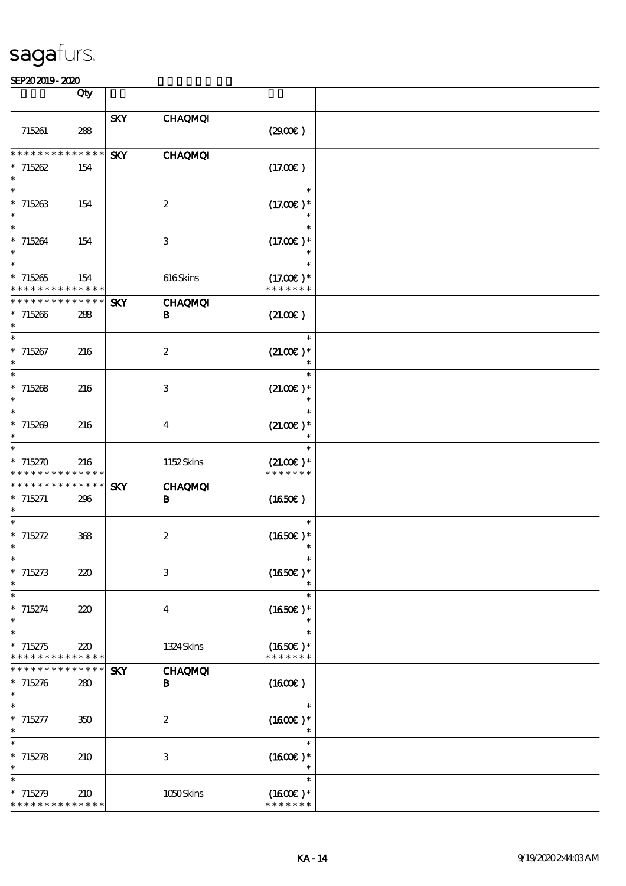|                                                     | Qty                    |            |                            |                                        |  |
|-----------------------------------------------------|------------------------|------------|----------------------------|----------------------------------------|--|
| 715261                                              | 288                    | <b>SKY</b> | <b>CHAQMQI</b>             | (2900)                                 |  |
| ********<br>$*715262$<br>$\ast$                     | * * * * * *<br>154     | <b>SKY</b> | <b>CHAQMQI</b>             | (17.00)                                |  |
| $\ast$<br>$*715263$<br>$\ast$                       | 154                    |            | $\boldsymbol{2}$           | $\ast$<br>$(17.00)$ *                  |  |
| $\ast$<br>$*715264$<br>$\ast$                       | 154                    |            | $\,3$                      | $\ast$<br>$(17.00)$ *                  |  |
| $\ast$<br>$*715265$<br>* * * * * * * *              | 154<br>* * * * * *     |            | 616Skins                   | $\ast$<br>$(17.00)$ *<br>* * * * * * * |  |
| * * * * * * *<br>$*715266$<br>$\ast$                | * * * * * *<br>288     | <b>SKY</b> | <b>CHAQMQI</b><br>B        | (21.00)                                |  |
| $\ast$<br>$*715267$<br>$\ast$                       | 216                    |            | $\boldsymbol{2}$           | $\ast$<br>$(21.00)$ *<br>$\ast$        |  |
| $\ast$<br>$* 715268$<br>$\ast$                      | 216                    |            | 3                          | $\ast$<br>$(21.00)$ *<br>$\ast$        |  |
| $\ast$<br>$* 715209$<br>$\ast$                      | 216                    |            | $\boldsymbol{4}$           | $\ast$<br>$(21.00)$ *                  |  |
| $\ast$<br>$* 715270$<br>* * * * * * *               | 216<br>$* * * * * * *$ |            | 1152Skins                  | $\ast$<br>$(21.00)$ *<br>* * * * * * * |  |
| * * * * * * * *<br>$* 715271$<br>$\ast$             | $***$ * * * *<br>296   | <b>SKY</b> | <b>CHAQMQI</b><br>B        | (1650)                                 |  |
| $\ast$<br>$* 715272$<br>$\ast$                      | 368                    |            | $\boldsymbol{2}$           | $\ast$<br>$(1650)$ *                   |  |
| $*$<br>$* 715273$<br>$\ast$                         | 220                    |            | $\,3$                      | $\ast$<br>$(1650)$ *                   |  |
| $\ast$<br>$* 715274$<br>$\ast$                      | 220                    |            | $\overline{\mathbf{4}}$    | $\ast$<br>$(1650)$ *<br>$\ast$         |  |
| $\ast$<br>$*715275$<br>* * * * * * * *              | 220<br>* * * * * *     |            | 1324 Skins                 | $\ast$<br>$(1650)$ *<br>* * * * * * *  |  |
| * * * * * * *<br>$* 715276$<br>$\ast$               | * * * * * *<br>280     | <b>SKY</b> | <b>CHAQMQI</b><br>$\bf{B}$ | $(1600\varepsilon)$                    |  |
| $\ast$<br>$* 715277$<br>$\ast$                      | 350                    |            | $\boldsymbol{z}$           | $\ast$<br>$(1600E)*$                   |  |
| $\ast$<br>$* 715278$<br>$\ast$                      | 210                    |            | 3                          | $\ast$<br>$(1600E)*$                   |  |
| $\ast$<br>$* 715279$<br>* * * * * * * * * * * * * * | 210                    |            | 1050Skins                  | $\ast$<br>$(1600E)*$<br>* * * * * * *  |  |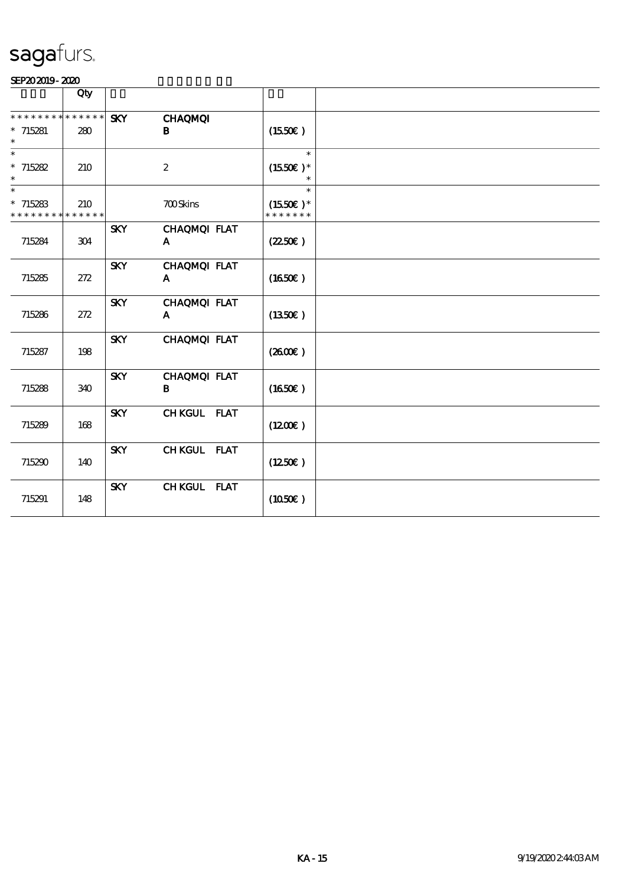|                                                    | Qty                |            |                              |                                       |  |
|----------------------------------------------------|--------------------|------------|------------------------------|---------------------------------------|--|
| * * * * * * * *<br>$*715281$<br>$\ast$             | * * * * * *<br>280 | <b>SKY</b> | <b>CHAQMQI</b><br>B          | $(1550\varepsilon)$                   |  |
| $\ast$<br>$* 715282$<br>$\ast$                     | 210                |            | $\boldsymbol{2}$             | $\ast$<br>$(1550E)*$                  |  |
| $\ast$<br>$*715283$<br>* * * * * * * * * * * * * * | 210                |            | <b>700Skins</b>              | $\ast$<br>$(1550E)*$<br>* * * * * * * |  |
| 715284                                             | 304                | <b>SKY</b> | CHAQMQI FLAT<br>A            | (2250)                                |  |
| 715285                                             | 272                | <b>SKY</b> | CHAQMQI FLAT<br>$\mathbf{A}$ | (1650E)                               |  |
| 715286                                             | 272                | <b>SKY</b> | CHAQMQI FLAT<br>A            | (1350E)                               |  |
| 715287                                             | 198                | <b>SKY</b> | CHAQMQI FLAT                 | (260E)                                |  |
| 715288                                             | 340                | <b>SKY</b> | CHAQMQI FLAT<br>B            | (1650)                                |  |
| 715289                                             | 168                | <b>SKY</b> | CHKGUL FLAT                  | (1200E)                               |  |
| 715290                                             | 140                | <b>SKY</b> | CHKGUL FLAT                  | (1250E)                               |  |
| 715291                                             | 148                | <b>SKY</b> | CHKGUL FLAT                  | (1050)                                |  |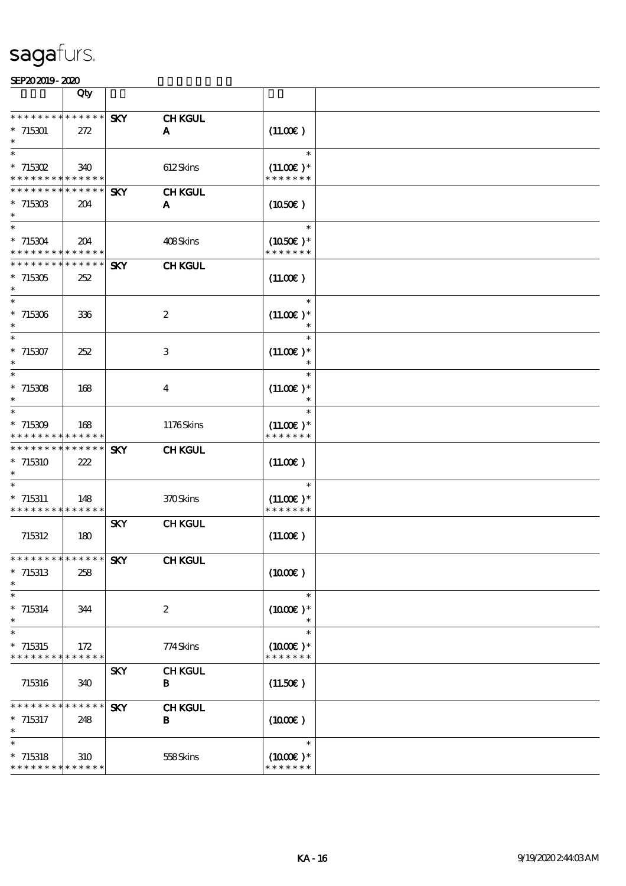|                                                       | Qty                        |            |                  |                              |  |
|-------------------------------------------------------|----------------------------|------------|------------------|------------------------------|--|
| * * * * * * *                                         | * * * * * *                | <b>SKY</b> | <b>CHKGUL</b>    |                              |  |
| $*715301$                                             | 272                        |            | $\mathbf{A}$     | (11.00)                      |  |
| $\ast$                                                |                            |            |                  |                              |  |
| $\ast$                                                |                            |            |                  | $\ast$                       |  |
| $* 715302$<br>* * * * * * * * * * * * * *             | 340                        |            | 612Skins         | $(11.00)$ *<br>* * * * * * * |  |
| * * * * * * * *                                       | $* * * * * * *$            | <b>SKY</b> | <b>CHKGUL</b>    |                              |  |
| $*715303$                                             | 204                        |            | A                | $(1050\epsilon)$             |  |
| $\ast$                                                |                            |            |                  |                              |  |
| $\ast$                                                |                            |            |                  | $\ast$                       |  |
| $*715304$<br>* * * * * * * * <mark>* * * * * *</mark> | 204                        |            | 408Skins         | $(1050)$ *<br>* * * * * * *  |  |
| * * * * * * * *                                       | $\ast\ast\ast\ast\ast\ast$ | <b>SKY</b> | <b>CHKGUL</b>    |                              |  |
| $*715305$                                             | 252                        |            |                  | (11.00)                      |  |
| $\ast$                                                |                            |            |                  |                              |  |
| $\ast$                                                |                            |            |                  | $\ast$                       |  |
| $*715306$<br>$\ast$                                   | 336                        |            | $\boldsymbol{2}$ | $(11.00)$ *                  |  |
| $\overline{\phantom{0}}$                              |                            |            |                  | $\ast$                       |  |
| $*715307$                                             | 252                        |            | 3                | $(11.00)$ *                  |  |
| $\ast$                                                |                            |            |                  |                              |  |
| $\overline{\phantom{0}}$                              |                            |            |                  | $\ast$                       |  |
| $* 715308$<br>$\ast$                                  | 168                        |            | $\bf{4}$         | $(11.00)$ *                  |  |
| $\ast$                                                |                            |            |                  | $\ast$                       |  |
| $* 715309$                                            | 168                        |            | 1176Skins        | $(11.00)$ *                  |  |
| * * * * * * * * * * * * * *                           |                            |            |                  | * * * * * * *                |  |
| * * * * * * * *                                       | * * * * * *                | <b>SKY</b> | <b>CHKGUL</b>    |                              |  |
| * 715310<br>$\ast$                                    | 222                        |            |                  | (11.00)                      |  |
| $\ast$                                                |                            |            |                  | $\ast$                       |  |
| $* 715311$                                            | 148                        |            | 370Skins         | $(11.00)$ *                  |  |
| * * * * * * * * * * * * * *                           |                            |            |                  | * * * * * * *                |  |
|                                                       |                            | <b>SKY</b> | <b>CHKGUL</b>    |                              |  |
| 715312                                                | 180                        |            |                  | (11.00)                      |  |
|                                                       |                            |            | <b>CHKGUL</b>    |                              |  |
| $*715313$                                             | 258                        |            |                  | (1000E)                      |  |
| $\ast$                                                |                            |            |                  |                              |  |
| $\ast$                                                |                            |            |                  | $\ast$                       |  |
| $* 715314$<br>$\ast$                                  | 344                        |            | $\boldsymbol{2}$ | $(1000E)*$                   |  |
| $\ast$                                                |                            |            |                  | $\ast$                       |  |
| $*715315$                                             | 172                        |            | 774Skins         | $(1000E)*$                   |  |
| * * * * * * * * * * * * * *                           |                            |            |                  | * * * * * * *                |  |
|                                                       |                            | <b>SKY</b> | <b>CHKGUL</b>    |                              |  |
| 715316                                                | 340                        |            | $\bf{B}$         | (11.50)                      |  |
| * * * * * * * *                                       | * * * * * *                | <b>SKY</b> | <b>CHKGUL</b>    |                              |  |
| $*715317$                                             | 248                        |            | B                | $(1000\varepsilon)$          |  |
| $\ast$                                                |                            |            |                  |                              |  |
| $\ast$                                                |                            |            |                  | $\ast$                       |  |
| $*$ 715318<br>* * * * * * * * * * * * * *             | 310                        |            | 558Skins         | $(1000E)*$<br>* * * * * * *  |  |
|                                                       |                            |            |                  |                              |  |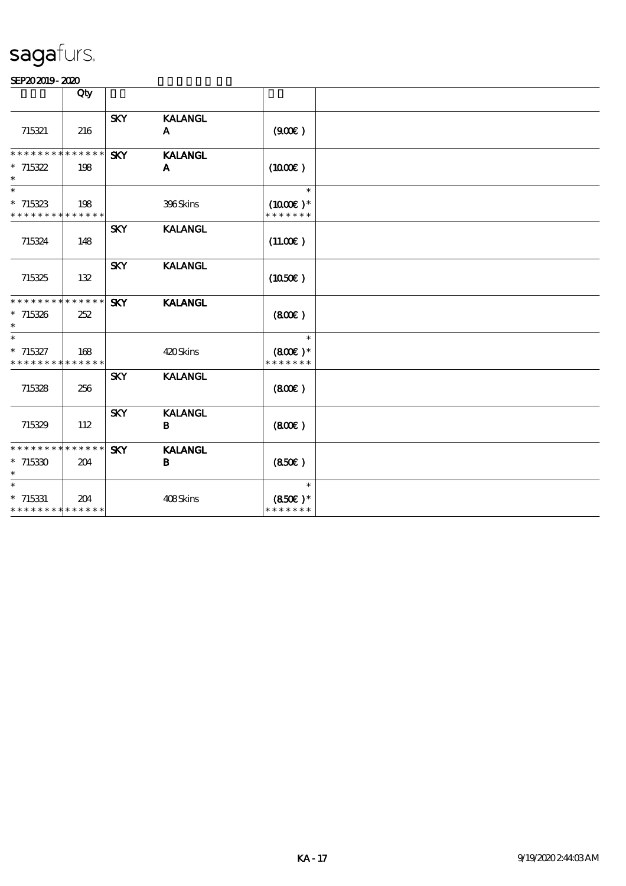|                                                     | Qty |            |                                |                                       |  |
|-----------------------------------------------------|-----|------------|--------------------------------|---------------------------------------|--|
| 715321                                              | 216 | <b>SKY</b> | <b>KALANGL</b><br>$\mathbf{A}$ | (900)                                 |  |
| * * * * * * * * * * * * * *<br>$*715322$<br>$\ast$  | 198 | <b>SKY</b> | <b>KALANGL</b><br>A            | (1000E)                               |  |
| $\ast$<br>$*715323$<br>* * * * * * * * * * * * * *  | 198 |            | 396Skins                       | $\ast$<br>$(1000E)*$<br>* * * * * * * |  |
| 715324                                              | 148 | <b>SKY</b> | <b>KALANGL</b>                 | (11.00)                               |  |
| 715325                                              | 132 | <b>SKY</b> | <b>KALANGL</b>                 | (1050)                                |  |
| * * * * * * * * * * * * * *<br>$*715326$<br>$\ast$  | 252 | <b>SKY</b> | <b>KALANGL</b>                 | (800)                                 |  |
| $\ast$<br>$* 715327$<br>* * * * * * * * * * * * * * | 168 |            | 420Skins                       | $\ast$<br>$(800)$ *<br>* * * * * * *  |  |
| 715328                                              | 256 | <b>SKY</b> | <b>KALANGL</b>                 | (800)                                 |  |
| 715329                                              | 112 | <b>SKY</b> | <b>KALANGL</b><br>B            | (800)                                 |  |
| * * * * * * * * * * * * * *<br>$*715330$<br>$\ast$  | 204 | <b>SKY</b> | <b>KALANGL</b><br>B            | (850)                                 |  |
| $\ast$<br>$*715331$<br>* * * * * * * * * * * * * *  | 204 |            | 408Skins                       | $\ast$<br>$(850)$ *<br>* * * * * * *  |  |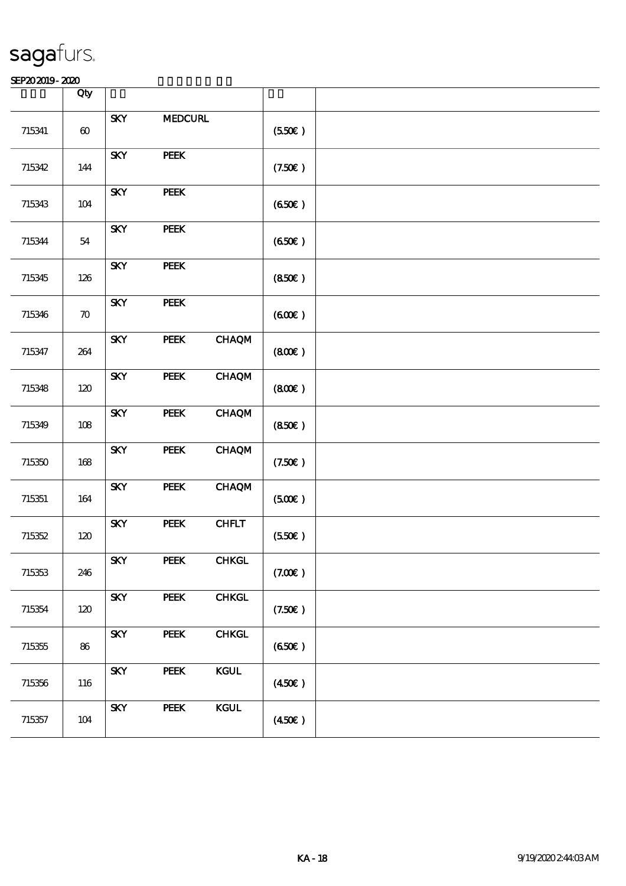|        | Qty                   |                                        |                |                           |                 |  |
|--------|-----------------------|----------------------------------------|----------------|---------------------------|-----------------|--|
| 715341 | $\boldsymbol{\omega}$ | <b>SKY</b>                             | <b>MEDCURL</b> |                           | (550)           |  |
| 715342 | 144                   | <b>SKY</b>                             | PEEK           |                           | (7.50)          |  |
| 715343 | $104$                 | <b>SKY</b>                             | PEEK           |                           | (650)           |  |
| 715344 | ${\bf 54}$            | <b>SKY</b>                             | PEEK           |                           | (650)           |  |
| 715345 | 126                   | <b>SKY</b>                             | PEEK           |                           | (850)           |  |
| 715346 | $\boldsymbol{\pi}$    | <b>SKY</b>                             | PEEK           |                           | (600)           |  |
| 715347 | 264                   | <b>SKY</b>                             | PEEK           | <b>CHAQM</b>              | (800)           |  |
| 715348 | 120                   | <b>SKY</b>                             | PEEK           | <b>CHAQM</b>              | (800)           |  |
| 715349 | $108$                 | <b>SKY</b>                             | PEEK           | <b>CHAQM</b>              | (850)           |  |
| 715350 | $168$                 | <b>SKY</b>                             | PEEK           | <b>CHAQM</b>              | (7.50)          |  |
| 715351 | $164\,$               | <b>SKY</b>                             | <b>PEEK</b>    | <b>CHAQM</b>              | (500)           |  |
| 715352 | 120                   | $\ensuremath{\textbf{S\!K\!Y}}\xspace$ | PEEK           | CHFLT                     | (550)           |  |
| 715353 | 246                   | <b>SKY</b>                             | PEEK           | CHKGL                     | (7.00)          |  |
| 715354 | 120                   | <b>SKY</b>                             | <b>PEEK</b>    | <b>CHKGL</b>              | (7.50)          |  |
| 715355 | 86                    | <b>SKY</b>                             | PEEK           | <b>CHKGL</b>              | (650)           |  |
| 715356 | 116                   | <b>SKY</b>                             | PEEK           | KCUL                      | $(450\epsilon)$ |  |
| 715357 | 104                   | <b>SKY</b>                             | PEEK           | $\bf K \bf G \bf U \bf L$ | $(450\epsilon)$ |  |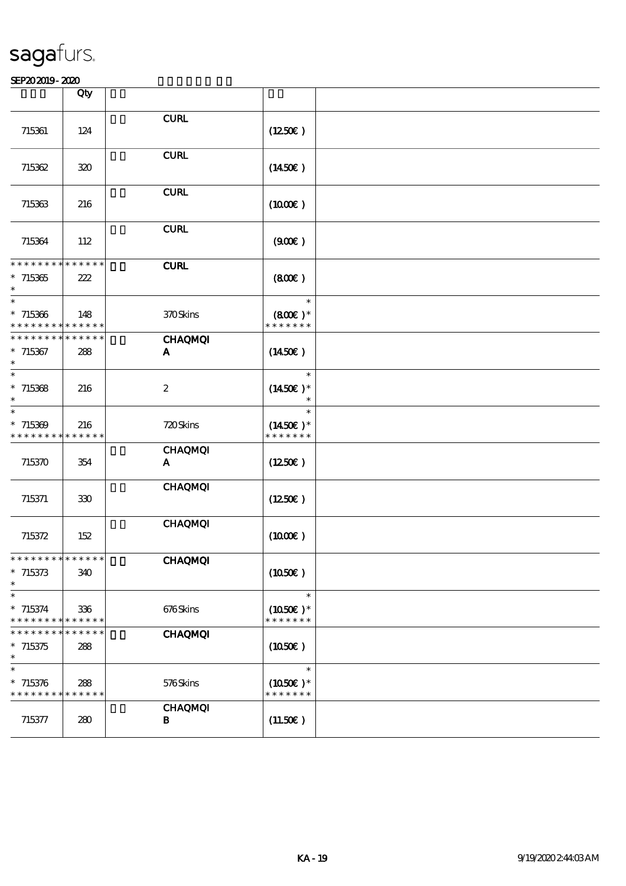|                                                                                   | Qty                |                                |                                       |  |
|-----------------------------------------------------------------------------------|--------------------|--------------------------------|---------------------------------------|--|
| 715361                                                                            | 124                | <b>CURL</b>                    | (1250E)                               |  |
| 715362                                                                            | 320                | <b>CURL</b>                    | $(1450\epsilon)$                      |  |
| 715363                                                                            | 216                | <b>CURL</b>                    | (1000)                                |  |
| 715364                                                                            | 112                | <b>CURL</b>                    | (900)                                 |  |
| * * * * * * * * * * * * * *<br>$*715365$<br>$\ast$                                | 222                | <b>CURL</b>                    | (800)                                 |  |
| $\overline{\phantom{0}}$<br>$*715366$<br>* * * * * * * * <mark>* * * * * *</mark> | 148                | 370Skins                       | $\ast$<br>$(800)$ *<br>* * * * * * *  |  |
| * * * * * * * * * * * * * *<br>$*715367$<br>$\ast$                                | 288                | <b>CHAQMQI</b><br>A            | (1450E)                               |  |
| $\ast$<br>$*715368$                                                               | 216                | $\boldsymbol{2}$               | $\ast$<br>$(1450E)*$                  |  |
| $\ast$<br>$*715309$<br>* * * * * * * * * * * * * *                                | 216                | 720Skins                       | $\ast$<br>$(1450E)*$<br>* * * * * * * |  |
| 715370                                                                            | 354                | <b>CHAQMQI</b><br>A            | (1250)                                |  |
| 715371                                                                            | 330                | <b>CHAQMQI</b>                 | $(1250\epsilon)$                      |  |
| 715372                                                                            | 152                | <b>CHAQMQI</b>                 | (1000)                                |  |
| * * * * * * * * * * * * * *<br>$*715373$<br>$\ast$                                | 340                | <b>CHAQMQI</b>                 | (1050)                                |  |
| $\overline{\phantom{0}}$<br>$* 715374$<br>* * * * * * * *                         | 336<br>* * * * * * | 676Skins                       | $\ast$<br>$(1050)$ *<br>* * * * * * * |  |
| * * * * * * * *<br>$*715375$<br>$\ast$                                            | * * * * * *<br>288 | <b>CHAQMQI</b>                 | (1050)                                |  |
| $\ast$<br>$* 715376$<br>* * * * * * * * * * * * * *                               | 288                | 576Skins                       | $\ast$<br>$(1050)$ *<br>* * * * * * * |  |
| 715377                                                                            | 280                | <b>CHAQMQI</b><br>$\, {\bf B}$ | (11.50)                               |  |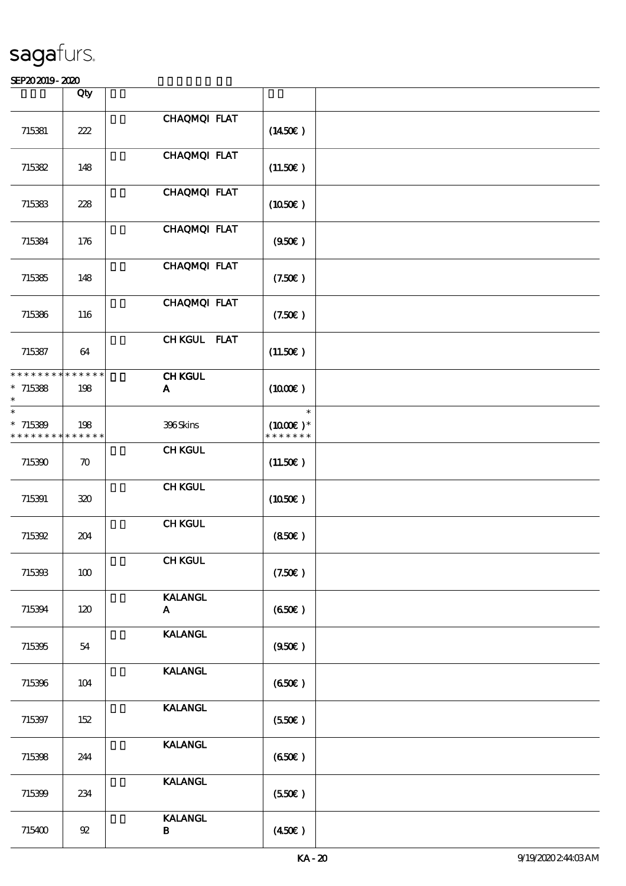|                                                                 | Qty                |                                |                                               |  |
|-----------------------------------------------------------------|--------------------|--------------------------------|-----------------------------------------------|--|
| 715381                                                          | 222                | CHAQMQI FLAT                   | $(1450\epsilon)$                              |  |
| 715382                                                          | 148                | CHAQMQI FLAT                   | (11.50)                                       |  |
| 715383                                                          | 228                | CHAQMQI FLAT                   | (1050)                                        |  |
| 715384                                                          | 176                | CHAQMQI FLAT                   | (950)                                         |  |
| 715385                                                          | 148                | CHAQMQI FLAT                   | (7.50)                                        |  |
| 715386                                                          | 116                | CHAQMQI FLAT                   | (7.50)                                        |  |
| 715387                                                          | 64                 | CHKGUL FLAT                    | (11.50)                                       |  |
| * * * * * * * * * * * * * *<br>$*715388$<br>$\ast$              | 198                | <b>CHKGUL</b><br>A             | (1000E)                                       |  |
| $\ast$<br>$*715389$<br>* * * * * * * * <mark>* * * * * *</mark> | 198                | 396Skins                       | $\ast$<br>$(1000\text{E})$ *<br>* * * * * * * |  |
| 715390                                                          | $\boldsymbol{\pi}$ | <b>CHKGUL</b>                  | (11.50)                                       |  |
| 715391                                                          | 320                | <b>CHKGUL</b>                  | (1050)                                        |  |
| 715392                                                          | 204                | <b>CHKGUL</b>                  | (850)                                         |  |
| 715393                                                          | 100                | <b>CHKGUL</b>                  | (7.50)                                        |  |
| 715394                                                          | 120                | <b>KALANGL</b><br>$\mathbf{A}$ | (650)                                         |  |
| 715395                                                          | 54                 | <b>KALANGL</b>                 | (950)                                         |  |
| 715396                                                          | 104                | <b>KALANGL</b>                 | (650)                                         |  |
| 715397                                                          | 152                | <b>KALANGL</b>                 | (550)                                         |  |
| 715398                                                          | 244                | <b>KALANGL</b>                 | (650)                                         |  |
| 715399                                                          | 234                | <b>KALANGL</b>                 | (550)                                         |  |
| 715400                                                          | $92\,$             | <b>KALANGL</b><br>$\, {\bf B}$ | $(450\epsilon)$                               |  |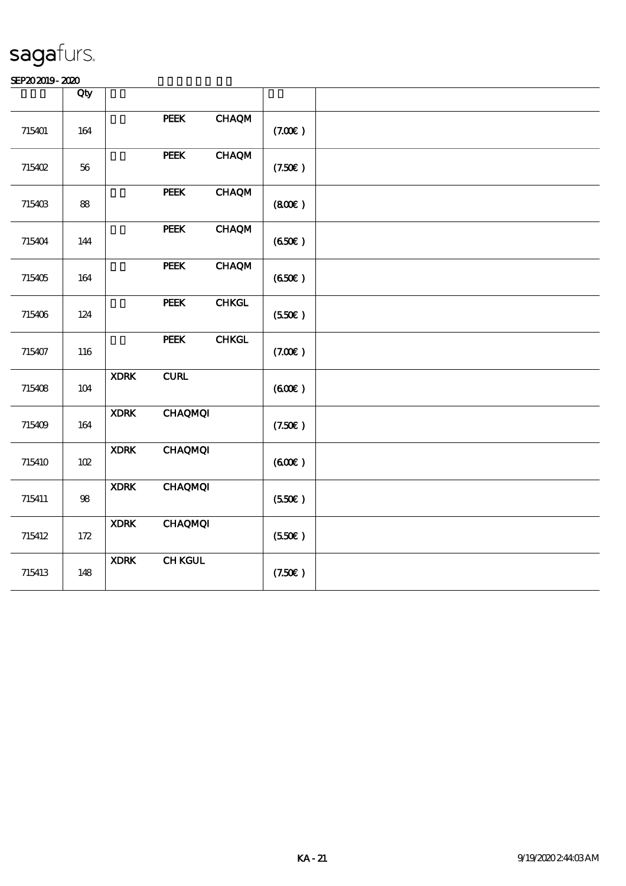|        | Qty        |             |                                         |               |        |  |
|--------|------------|-------------|-----------------------------------------|---------------|--------|--|
| 715401 | 164        |             | <b>PEEK</b>                             | <b>CHAQM</b>  | (7.00) |  |
| 715402 | 56         |             | PEEK                                    | <b>CHAQM</b>  | (7.50) |  |
| 715403 | ${\bf 88}$ |             | <b>PEEK</b>                             | <b>CHAQM</b>  | (800)  |  |
| 715404 | 144        |             | <b>PEEK</b>                             | CHAQM         | (650)  |  |
| 715405 | 164        |             | PEEK                                    | <b>CHAQM</b>  | (650)  |  |
| 715406 | 124        |             | <b>PEEK</b>                             | ${\bf CHKGL}$ | (550)  |  |
| 715407 | 116        |             | <b>PEEK</b>                             | CHKGL         | (7.00) |  |
| 715408 | 104        | <b>XDRK</b> | ${\bf C}\mathbf{U}\mathbf{R}\mathbf{L}$ |               | (600)  |  |
| 715409 | 164        | <b>XDRK</b> | <b>CHAQMQI</b>                          |               | (7.50) |  |
| 715410 | $102$      | <b>XDRK</b> | <b>CHAQMQI</b>                          |               | (600)  |  |
| 715411 | ${\bf 98}$ | <b>XDRK</b> | <b>CHAQMQI</b>                          |               | (550)  |  |
| 715412 | 172        | <b>XDRK</b> | <b>CHAQMQI</b>                          |               | (550)  |  |
| 715413 | 148        | <b>XDRK</b> | <b>CHKGUL</b>                           |               | (7.50) |  |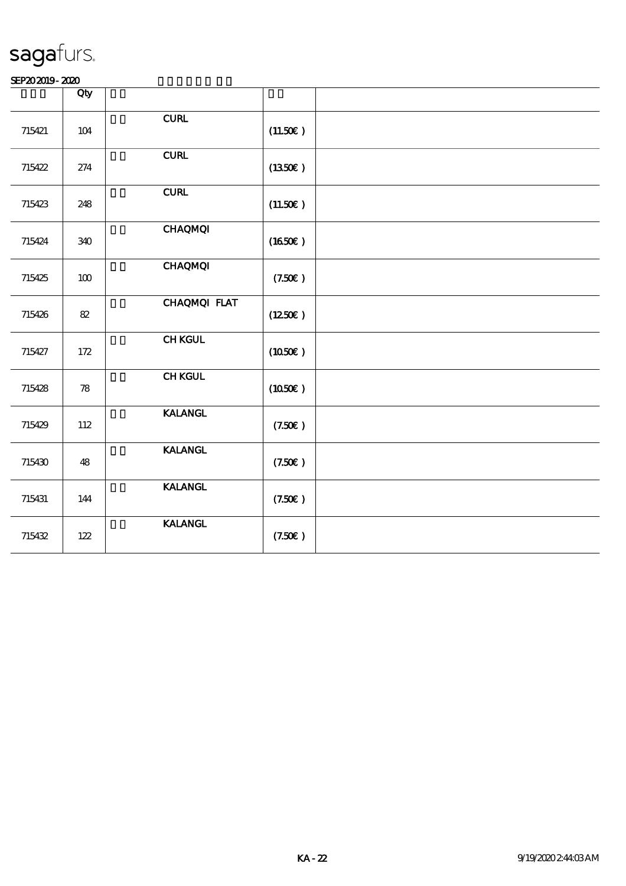|        | Qty               |                                         |          |  |
|--------|-------------------|-----------------------------------------|----------|--|
| 715421 | 104               | ${\bf C}\mathbf{U}\mathbf{R}\mathbf{L}$ | (11.50E) |  |
| 715422 | 274               | ${\bf C}\mathbf{U}\mathbf{R}\mathbf{L}$ | (1350E)  |  |
| 715423 | 248               | <b>CURL</b>                             | (11.50)  |  |
| 715424 | 340               | <b>CHAQMQI</b>                          | (1650)   |  |
| 715425 | 100               | <b>CHAQMQI</b>                          | (7.50)   |  |
| 715426 | 82                | CHAQMQI FLAT                            | (1250E)  |  |
| 715427 | 172               | <b>CHKGUL</b>                           | (1050)   |  |
| 715428 | $\boldsymbol{78}$ | <b>CHKGUL</b>                           | (1050E)  |  |
| 715429 | 112               | <b>KALANGL</b>                          | (7.50)   |  |
| 715430 | 48                | <b>KALANGL</b>                          | (7.50)   |  |
| 715431 | 144               | <b>KALANGL</b>                          | (7.50)   |  |
| 715432 | 122               | <b>KALANGL</b>                          | (7.50)   |  |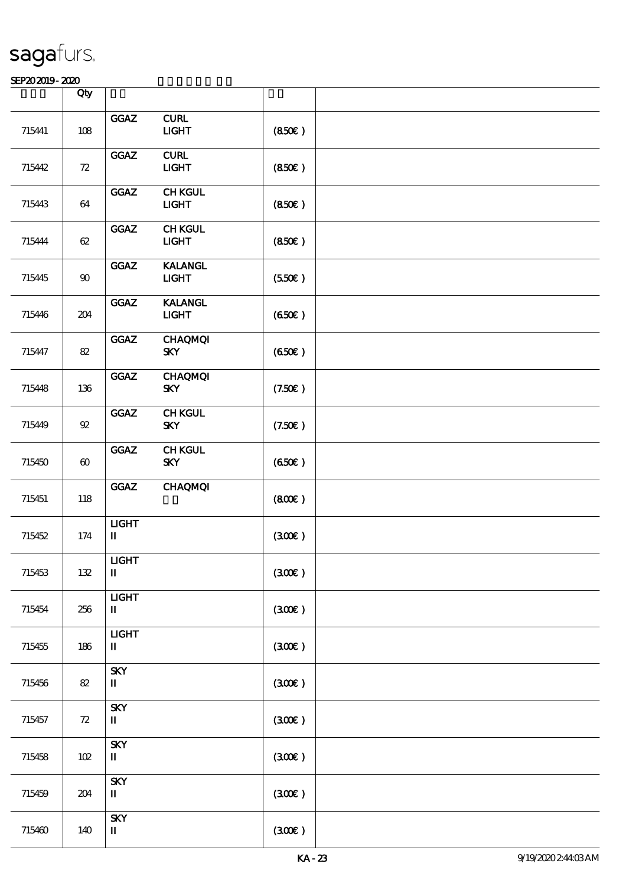|        | Qty                   |                              |                                                   |        |  |
|--------|-----------------------|------------------------------|---------------------------------------------------|--------|--|
| 715441 | $108$                 | GGAZ                         | ${\bf CURL}$<br>$UCHT$                            | (850)  |  |
| 715442 | ${\bf Z}$             | GGAZ                         | ${\bf C}\mathbf{U}\mathbf{R}\mathbf{L}$<br>$UCHT$ | (850)  |  |
| 715443 | 64                    | GGAZ                         | <b>CHKGUL</b><br><b>LIGHT</b>                     | (850)  |  |
| 715444 | 62                    | GGAZ                         | <b>CHKGUL</b><br>$UCHT$                           | (850)  |  |
| 715445 | $90\,$                | GGAZ                         | <b>KALANGL</b><br><b>LIGHT</b>                    | (550)  |  |
| 715446 | 204                   | $_{\mathrm{GGAZ}}$           | <b>KALANGL</b><br><b>LIGHT</b>                    | (650)  |  |
| 715447 | 82                    | GGAZ                         | <b>CHAQMQI</b><br><b>SKY</b>                      | (650)  |  |
| 715448 | $136\,$               | GGAZ                         | <b>CHAQMQI</b><br><b>SKY</b>                      | (7.50) |  |
| 715449 | ${\mathfrak A}$       | $_{\mathrm{GGAZ}}$           | <b>CHKGUL</b><br><b>SKY</b>                       | (7.50) |  |
| 715450 | $\boldsymbol{\omega}$ | GGAZ                         | <b>CHKGUL</b><br><b>SKY</b>                       | (650)  |  |
| 715451 | 118                   | GGAZ                         | <b>CHAQMQI</b>                                    | (800)  |  |
| 715452 | 174                   | <b>LIGHT</b><br>$\mathbf{I}$ |                                                   | (300)  |  |
| 715453 | 132                   | $LIGHT$<br>П                 |                                                   | (300)  |  |
| 715454 | 256                   | <b>LIGHT</b><br>$\mathbf I$  |                                                   | (300)  |  |
| 715455 | 186                   | <b>LIGHT</b><br>$\mathbf{I}$ |                                                   | (30E)  |  |
| 715456 | $8\!2$                | <b>SKY</b><br>П              |                                                   | (300)  |  |
| 715457 | 72                    | <b>SKY</b><br>П              |                                                   | (300)  |  |
| 715458 | $102$                 | <b>SKY</b><br>П              |                                                   | (30E)  |  |
| 715459 | 204                   | <b>SKY</b><br>П              |                                                   | (300)  |  |
| 715460 | 140                   | <b>SKY</b><br>П              |                                                   | (30E)  |  |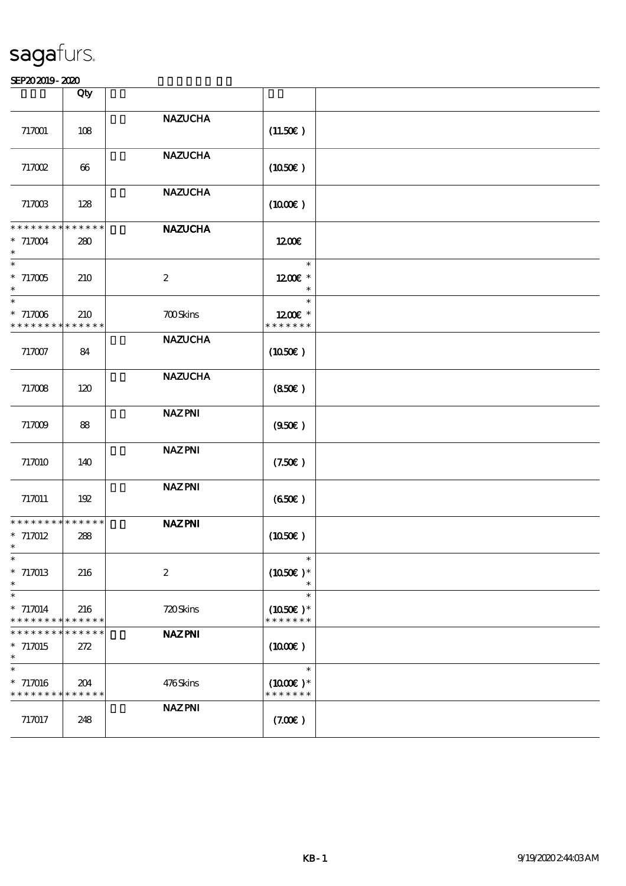|                                                                            | Qty                |                                                                   |                                       |  |
|----------------------------------------------------------------------------|--------------------|-------------------------------------------------------------------|---------------------------------------|--|
|                                                                            |                    |                                                                   |                                       |  |
| 717001                                                                     | 108                | <b>NAZUCHA</b>                                                    | (11.50)                               |  |
| 717002                                                                     | 66                 | <b>NAZUCHA</b>                                                    | (1050)                                |  |
| 717003                                                                     | 128                | <b>NAZUCHA</b>                                                    | $(1000\varepsilon)$                   |  |
| * * * * * * * * * * * * * *<br>$* 717004$<br>$\ast$                        | 280                | <b>NAZUCHA</b>                                                    | 1200E                                 |  |
| $\overline{\phantom{0}}$<br>$*717005$<br>$\ast$                            | 210                | $\boldsymbol{2}$                                                  | $\ast$<br>$1200E$ *                   |  |
| $\overline{\ast}$<br>$*717006$<br>* * * * * * * * <mark>* * * * * *</mark> | 210                | <b>700Skins</b>                                                   | $\ast$<br>1200E *<br>* * * * * * *    |  |
| 717007                                                                     | 84                 | <b>NAZUCHA</b>                                                    | (1050)                                |  |
| 717008                                                                     | 120                | <b>NAZUCHA</b>                                                    | (850)                                 |  |
| 717009                                                                     | 88                 | <b>NAZPNI</b>                                                     | (950)                                 |  |
| 717010                                                                     | 140                | <b>NAZPNI</b>                                                     | (7.50)                                |  |
| 717011                                                                     | 192                | <b>NAZPNI</b>                                                     | (650)                                 |  |
| * * * * * * * * * * * * * *<br>$*717012$<br>$\ast$                         | 288                | <b>NAZPNI</b>                                                     | (1050)                                |  |
| -क<br>$*717013$<br>$\ast$                                                  | 216                | $\boldsymbol{2}$                                                  | $(1050)$ *                            |  |
| $\overline{\phantom{0}}$<br>$* 717014$<br>* * * * * * * *                  | 216<br>* * * * * * | 720Skins                                                          | $\ast$<br>$(1050)$ *<br>* * * * * * * |  |
| * * * * * * *<br>ᅯ<br>$* 717015$<br>$\ast$                                 | * * * * * *<br>272 | <b>NAZ PNI</b>                                                    | $(1000\varepsilon)$                   |  |
| $\ast$<br>$* 717016$<br>* * * * * * * * <mark>* * * * * *</mark> *         | 204                | 476Skins                                                          | $\ast$<br>$(1000E)*$<br>* * * * * * * |  |
| 717017                                                                     | 248                | $\operatorname{\textsf{NAZ}}\nolimits\operatorname{\textsf{PNI}}$ | (7.00)                                |  |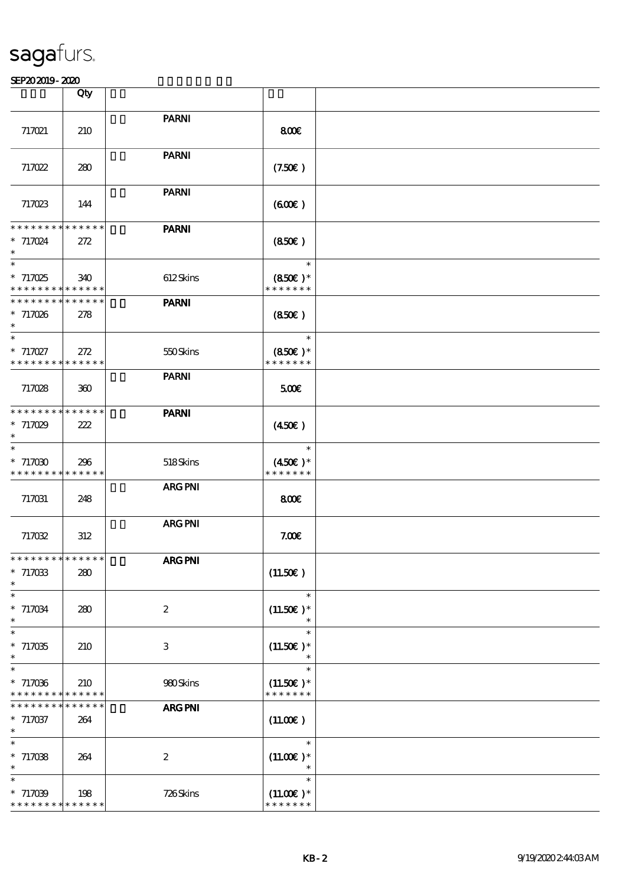|                                                                       | Qty                |                  |                                              |  |
|-----------------------------------------------------------------------|--------------------|------------------|----------------------------------------------|--|
| 717021                                                                | 210                | <b>PARNI</b>     | 800E                                         |  |
| 717022                                                                | 280                | <b>PARNI</b>     | (7.50)                                       |  |
| 717023                                                                | 144                | <b>PARNI</b>     | (60E)                                        |  |
| * * * * * * * * * * * * * *<br>$* 717024$<br>$\ast$                   | 272                | <b>PARNI</b>     | (850)                                        |  |
| $\overline{\phantom{a}}$<br>$* 717025$<br>* * * * * * * * * * * * * * | 340                | 612Skins         | $\ast$<br>$(850)$ *<br>* * * * * * *         |  |
| * * * * * * * * * * * * * *<br>$*717026$                              | 278                | <b>PARNI</b>     | (850)                                        |  |
| $\ast$<br>$* 717027$<br>* * * * * * * * * * * * * *                   | 272                | 550Skins         | $\ast$<br>$(850)$ *<br>* * * * * * *         |  |
| 717028                                                                | 360                | <b>PARNI</b>     | 500                                          |  |
| * * * * * * * * * * * * * *<br>$*717029$<br>$\ast$                    | 222                | <b>PARNI</b>     | $(450\epsilon)$                              |  |
| $\ast$<br>$*717030$<br>* * * * * * * * * * * * * *                    | 296                | 518Skins         | $\ast$<br>$(450\epsilon)$ *<br>* * * * * * * |  |
| 717031                                                                | 248                | <b>ARG PNI</b>   | 800                                          |  |
| 717032                                                                | 312                | <b>ARG PNI</b>   | 7.00E                                        |  |
| **************<br>$* 717033$<br>$\ast$                                | 280                | <b>ARG PNI</b>   | (11.50)                                      |  |
| $\ast$<br>$* 717034$<br>$\ast$                                        | 280                | $\boldsymbol{2}$ | $\ast$<br>$(11.50)$ *<br>$\ast$              |  |
| $\ast$<br>$*717035$<br>$\ast$                                         | 210                | 3                | $\ast$<br>$(11.50)$ *                        |  |
| $\ast$<br>$* 717036$<br>* * * * * * * * * * * * * *                   | 210                | 980Skins         | $\ast$<br>$(11.50)$ *<br>* * * * * * *       |  |
| * * * * * * *<br>$*717037$<br>$\ast$                                  | * * * * * *<br>264 | <b>ARG PNI</b>   | (11.00)                                      |  |
| $\ast$<br>$* 717038$<br>$\ast$                                        | 264                | $\boldsymbol{2}$ | $\ast$<br>$(11.00)$ *                        |  |
| $\ast$<br>$* 717039$<br>* * * * * * * * * * * * * *                   | 198                | 726Skins         | $\ast$<br>$(11.00)$ *<br>* * * * * * *       |  |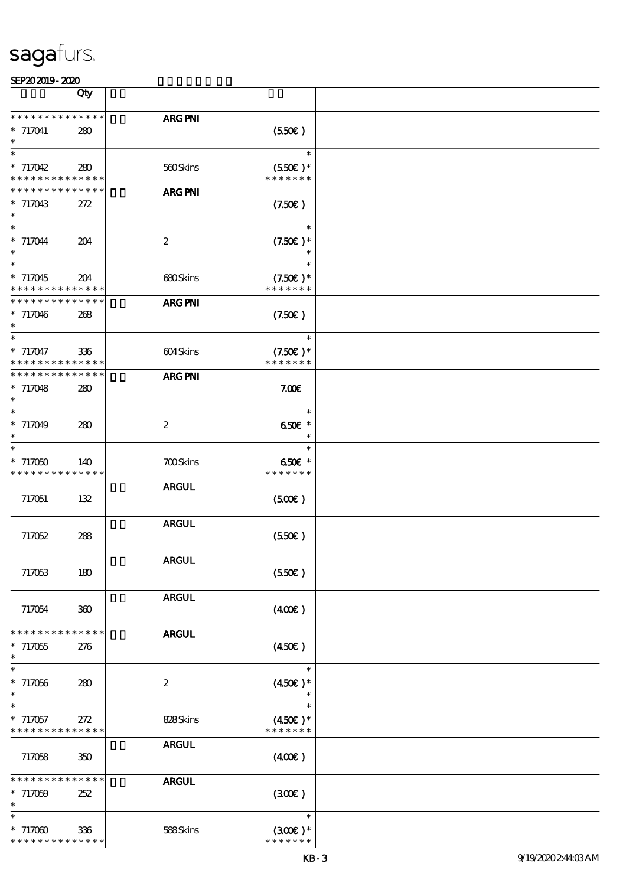|                                                     | Qty                |                  |                                              |  |
|-----------------------------------------------------|--------------------|------------------|----------------------------------------------|--|
| * * * * * * * * * * * * * *<br>$* 717041$<br>$\ast$ | 280                | ARG PNI          | (550)                                        |  |
| $\ast$<br>$* 717042$<br>* * * * * * * * * * * * * * | 280                | 560Skins         | $\ast$<br>$(550E)*$<br>* * * * * * *         |  |
| * * * * * * * *<br>$* 717043$<br>$\ast$             | * * * * * *<br>272 | <b>ARG PNI</b>   | (7.50)                                       |  |
| $\ast$<br>$* 717044$<br>$\ast$                      | 204                | $\boldsymbol{2}$ | $\ast$<br>$(7.50)$ *                         |  |
| $\ast$<br>$*717045$<br>* * * * * * * * * * * * * *  | 204                | 680Skins         | $\ast$<br>$(7.50)$ *<br>* * * * * * *        |  |
| * * * * * * * * * * * * * *<br>$*717046$<br>$\ast$  | 268                | <b>ARG PNI</b>   | (7.50)                                       |  |
| $\ast$<br>* 717047<br>* * * * * * * * * * * * * *   | 336                | 604Skins         | $\ast$<br>$(7.50)$ *<br>* * * * * * *        |  |
| * * * * * * * * * * * * * *<br>$* 717048$<br>$\ast$ | 280                | <b>ARG PNI</b>   | 7.00E                                        |  |
| $\ast$<br>$* 717049$<br>$\ast$                      | 280                | $\boldsymbol{2}$ | $\ast$<br>650€ *<br>$\ast$                   |  |
| $\ast$<br>$*717050$<br>* * * * * * * * * * * * * *  | 140                | <b>700Skins</b>  | $\ast$<br>650€ *<br>* * * * * * *            |  |
| 717051                                              | 132                | <b>ARGUL</b>     | (500)                                        |  |
| 717052                                              | 288                | <b>ARGUL</b>     | (550)                                        |  |
| 717053                                              | 180                | <b>ARGUL</b>     | (550)                                        |  |
| 717054                                              | 300                | <b>ARGUL</b>     | (400)                                        |  |
| * * * * * * * *<br>$* 717055$<br>$\ast$             | * * * * * *<br>276 | <b>ARGUL</b>     | (450)                                        |  |
| $\ast$<br>$*717056$<br>$\ast$                       | 280                | $\boldsymbol{2}$ | $\ast$<br>$(450)$ *                          |  |
| $*717057$<br>* * * * * * * * * * * * * *            | 272                | 828Skins         | $\ast$<br>$(450\epsilon)$ *<br>* * * * * * * |  |
| 717058                                              | 350                | <b>ARGUL</b>     | $(400\varepsilon)$                           |  |
| * * * * * * * * * * * * * *<br>$* 717059$<br>$\ast$ | 252                | <b>ARGUL</b>     | (300)                                        |  |
| $\ast$<br>$*717000$<br>* * * * * * * * * * * * * *  | 336                | 588Skins         | $\ast$<br>$(300)$ *<br>* * * * * * *         |  |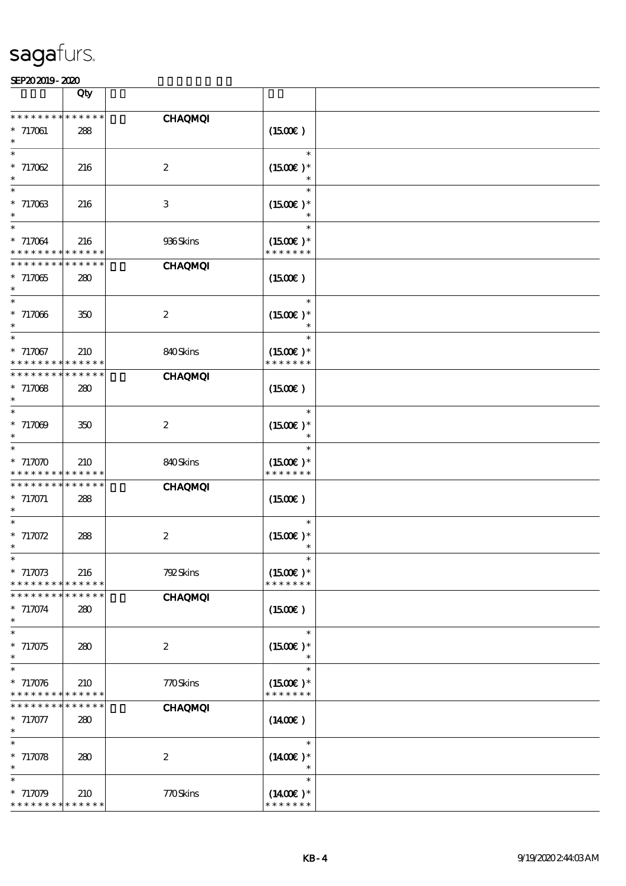|                                                     | Qty                |                  |                                       |  |
|-----------------------------------------------------|--------------------|------------------|---------------------------------------|--|
| * * * * * * * *<br>$*717061$<br>$\ast$              | * * * * * *<br>288 | <b>CHAQMQI</b>   | $(1500\varepsilon)$                   |  |
| $\ast$<br>$* 717062$<br>$\ast$                      | 216                | $\boldsymbol{2}$ | $\ast$<br>$(1500E)*$                  |  |
| $\ast$<br>$* 717063$<br>$\ast$                      | 216                | $\,3$            | $\ast$<br>$(1500E)*$                  |  |
| $\ast$<br>$* 717064$<br>* * * * * * * * * * * * * * | 216                | 936Skins         | $\ast$<br>$(1500E)*$<br>* * * * * * * |  |
| * * * * * * * *<br>$*717065$                        | * * * * * *<br>280 | <b>CHAQMQI</b>   | (1500E)                               |  |
| $\ast$<br>$* 717066$                                | 350                | $\boldsymbol{2}$ | $(1500E)*$                            |  |
| $\ast$<br>$* 717067$<br>* * * * * * * *             | 210<br>* * * * * * | 840Skins         | $\ast$<br>$(1500E)*$<br>* * * * * * * |  |
| * * * * * * * *<br>$* 717068$<br>$\ast$             | * * * * * *<br>280 | <b>CHAQMQI</b>   | (1500E)                               |  |
| $\ast$<br>$* 717009$<br>$\ast$                      | 350                | $\boldsymbol{2}$ | $\ast$<br>$(1500E)*$                  |  |
| $\ast$<br>$*717070$<br>* * * * * * * *              | 210<br>* * * * * * | 840Skins         | $\ast$<br>$(1500E)*$<br>* * * * * * * |  |
| * * * * * * * *<br>$* 717071$<br>$\ast$             | * * * * * *<br>288 | <b>CHAQMQI</b>   | (1500E)                               |  |
| $* 717072$<br>$\ast$                                | 288                | $\boldsymbol{2}$ | $(1500E)*$                            |  |
| $*$<br>$* 717073$<br>* * * * * * * *                | 216<br>* * * * * * | 792Skins         | $\ast$<br>$(1500E)*$<br>* * * * * * * |  |
| * * * * * * * *<br>$* 717074$<br>$\ast$             | * * * * * *<br>280 | <b>CHAQMQI</b>   | (1500E)                               |  |
| $\ast$<br>$* 717075$<br>$\ast$                      | 280                | $\boldsymbol{2}$ | $\ast$<br>$(1500E)*$<br>$\ast$        |  |
| $\ast$<br>$* 717076$<br>* * * * * * * *             | 210<br>* * * * * * | 770Skins         | $\ast$<br>$(1500E)*$<br>* * * * * * * |  |
| * * * * * * *<br>$* 717077$<br>$\ast$               | * * * * * *<br>280 | <b>CHAQMQI</b>   | $(1400\varepsilon)$                   |  |
| $\ast$<br>$* 717078$<br>$\ast$                      | 280                | $\boldsymbol{2}$ | $\ast$<br>$(1400E)*$                  |  |
| $\ast$<br>* 717079<br>* * * * * * * * * * * * * *   | 210                | 770Skins         | $\ast$<br>$(1400E)*$<br>* * * * * * * |  |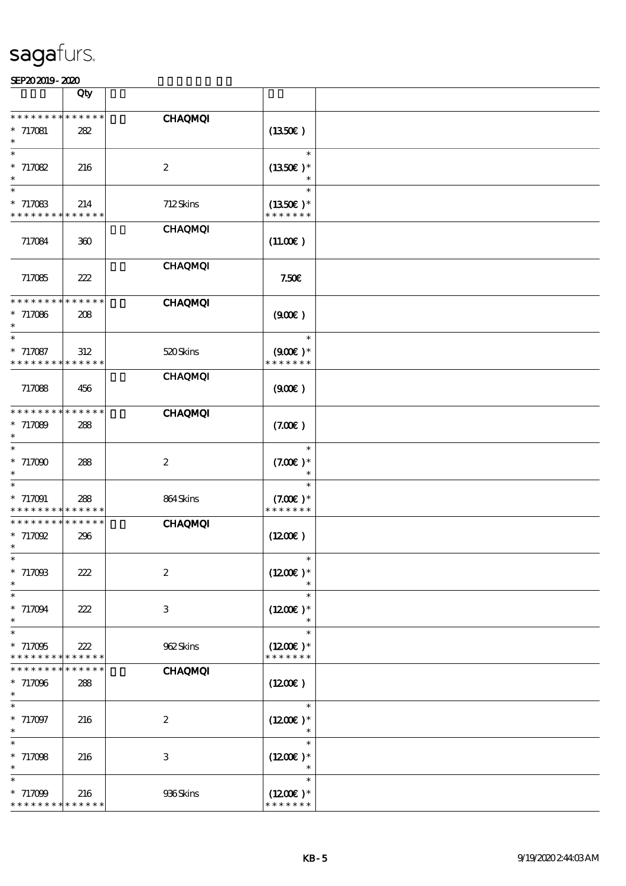|                                                      | Qty         |                  |                             |  |
|------------------------------------------------------|-------------|------------------|-----------------------------|--|
| * * * * * * * *                                      |             | <b>CHAQMQI</b>   |                             |  |
| $* 717081$                                           | 282         |                  | (1350)                      |  |
| $\ast$                                               |             |                  |                             |  |
| $\ast$                                               |             |                  | $\ast$                      |  |
| $* 717082$<br>$\ast$                                 | 216         | $\boldsymbol{2}$ | $(1350E)*$<br>$\ast$        |  |
| $\ast$                                               |             |                  | $\ast$                      |  |
| $* 717083$                                           | 214         | 712Skins         | $(1350E)*$                  |  |
| * * * * * * * * <mark>* * * * * *</mark>             |             |                  | * * * * * * *               |  |
| 717084                                               |             | <b>CHAQMQI</b>   |                             |  |
|                                                      | 300         |                  | (11.00)                     |  |
|                                                      |             | <b>CHAQMQI</b>   |                             |  |
| 717085                                               | 222         |                  | 7.50E                       |  |
| * * * * * * * *                                      | * * * * * * |                  |                             |  |
| $* 717086$                                           | 208         | <b>CHAQMQI</b>   | (900)                       |  |
| $\ast$                                               |             |                  |                             |  |
| $\ast$                                               |             |                  | $\ast$                      |  |
| $* 717087$                                           | 312         | 520Skins         | $(900)$ *                   |  |
| * * * * * * * * * * * * * *                          |             | <b>CHAQMQI</b>   | * * * * * * *               |  |
| 717088                                               | 456         |                  | (900)                       |  |
|                                                      |             |                  |                             |  |
| * * * * * * * * * * * * * *                          |             | <b>CHAQMQI</b>   |                             |  |
| $* 717089$<br>$\ast$                                 | 288         |                  | (7.00)                      |  |
| $\ast$                                               |             |                  | $\ast$                      |  |
| $*717000$                                            | 288         | $\boldsymbol{2}$ | $(7.00)$ *                  |  |
| $\ast$                                               |             |                  |                             |  |
| $\ast$                                               |             |                  | $\ast$                      |  |
| * 717091<br>* * * * * * * * <mark>* * * * * *</mark> | 288         | 864Skins         | $(7.00)$ *<br>* * * * * * * |  |
| * * * * * * * *                                      | * * * * * * | <b>CHAQMQI</b>   |                             |  |
| $*717092$                                            | 296         |                  | $(1200\varepsilon)$         |  |
| $\ast$                                               |             |                  |                             |  |
| $*$<br>$* 717098$                                    |             | $\boldsymbol{2}$ | $\ast$<br>$(1200E)^*$       |  |
| $\ast$                                               | 222         |                  |                             |  |
| $\ast$                                               |             |                  | $\ast$                      |  |
| $* 717094$                                           | 222         | 3                | $(1200E)*$                  |  |
| $\ast$<br>$\ast$                                     |             |                  | $\ast$<br>$\ast$            |  |
| $*717095$                                            | 222         | 962Skins         | $(1200E)*$                  |  |
| * * * * * * *                                        | * * * * * * |                  | * * * * * * *               |  |
| * * * * * * *                                        | * * * * * * | <b>CHAQMQI</b>   |                             |  |
| $*717096$                                            | 288         |                  | (1200E)                     |  |
| $\ast$<br>$\ast$                                     |             |                  | $\ast$                      |  |
| $*717097$                                            | 216         | $\boldsymbol{2}$ | $(1200E)*$                  |  |
| $\ast$                                               |             |                  |                             |  |
| $\ast$                                               |             |                  | $\ast$                      |  |
| $* 71708$<br>$\ast$                                  | 216         | 3                | $(1200E)*$<br>$\ast$        |  |
| $\ast$                                               |             |                  | $\ast$                      |  |
| $* 717099$                                           | 216         | 936Skins         | $(1200E)*$                  |  |
| * * * * * * * * * * * * * *                          |             |                  | * * * * * * *               |  |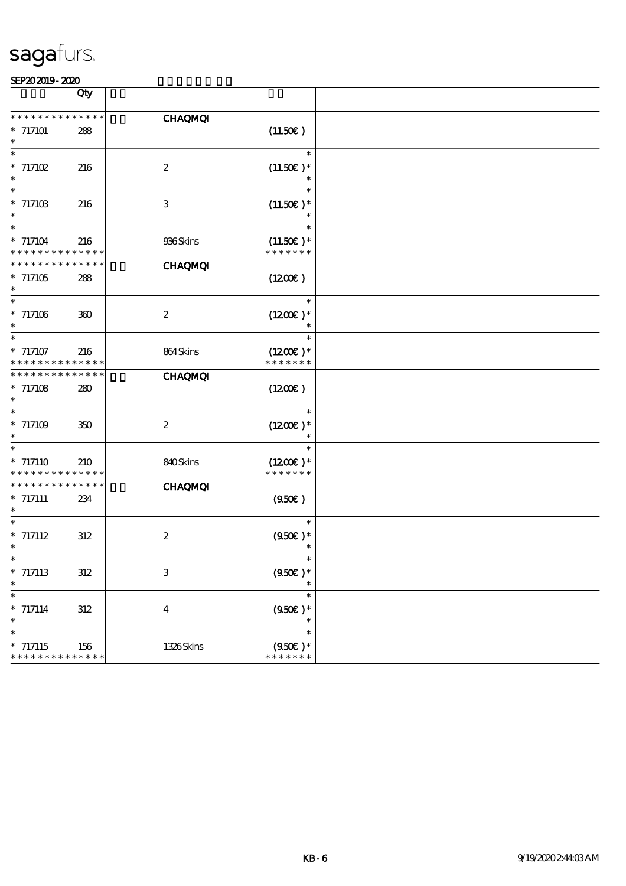|                                                                  | Qty                |                  |                                                 |  |
|------------------------------------------------------------------|--------------------|------------------|-------------------------------------------------|--|
| * * * * * * * *<br>$* 717101$                                    | * * * * * *<br>288 | <b>CHAQMQI</b>   | (11.50)                                         |  |
| $\overline{\ast}$<br>$* 717102$<br>$\ast$                        | 216                | $\boldsymbol{2}$ | $\ast$<br>$(11.50)$ *<br>$\ast$                 |  |
| $\ast$<br>$* 71710B$<br>$\ast$                                   | 216                | $\,3$            | $\ast$<br>$(11.50)$ *<br>$\ast$                 |  |
| $\ast$<br>$* 717104$<br>* * * * * * * * <mark>* * * * * *</mark> | 216                | 936Skins         | $\ast$<br>$(11.50)$ *<br>* * * * * * *          |  |
| * * * * * * *<br>$*717105$<br>$\ast$                             | * * * * * *<br>288 | <b>CHAQMQI</b>   | $(1200\varepsilon)$                             |  |
| $\ast$<br>$* 717106$                                             | 360                | $\boldsymbol{2}$ | $\ast$<br>$(1200E)*$                            |  |
| $\ast$<br>$* 717107$<br>* * * * * * * *                          | 216<br>* * * * * * | 864Skins         | $\ast$<br>$(1200E)*$<br>* * * * * * *           |  |
| * * * * * * * *<br>$* 717108$<br>$\ast$                          | * * * * * *<br>280 | <b>CHAQMQI</b>   | (1200E)                                         |  |
| $\ast$<br>$^*$ 717109 $\,$<br>$\ast$                             | 350                | $\boldsymbol{2}$ | $\ast$<br>$(1200E)*$<br>$\ast$                  |  |
| $\ast$<br>$* 717110$<br>* * * * * * * *                          | 210<br>* * * * * * | 840Skins         | $\ast$<br>$(1200E)*$<br>* * * * * * *           |  |
| * * * * * * * * * * * * * *<br>$* 717111$<br>$\ast$              | 234                | <b>CHAQMQI</b>   | (950)                                           |  |
| $\ast$<br>$* 717112$<br>$\ast$                                   | 312                | $\boldsymbol{2}$ | $\ast$<br>$(950\epsilon)*$                      |  |
| $* 717113$<br>$\ast$<br>$\ast$                                   | 312                | $\,3$            | $(950E)*$<br>$\ast$                             |  |
| $* 717114$<br>$\ast$<br>$\ast$                                   | $312\,$            | $\boldsymbol{4}$ | $\ast$<br>$(950\epsilon)$ *<br>$\ast$<br>$\ast$ |  |
| $* 717115$<br>* * * * * * * * * * * * * *                        | 156                | 1326Skins        | $(950)$ *<br>* * * * * * *                      |  |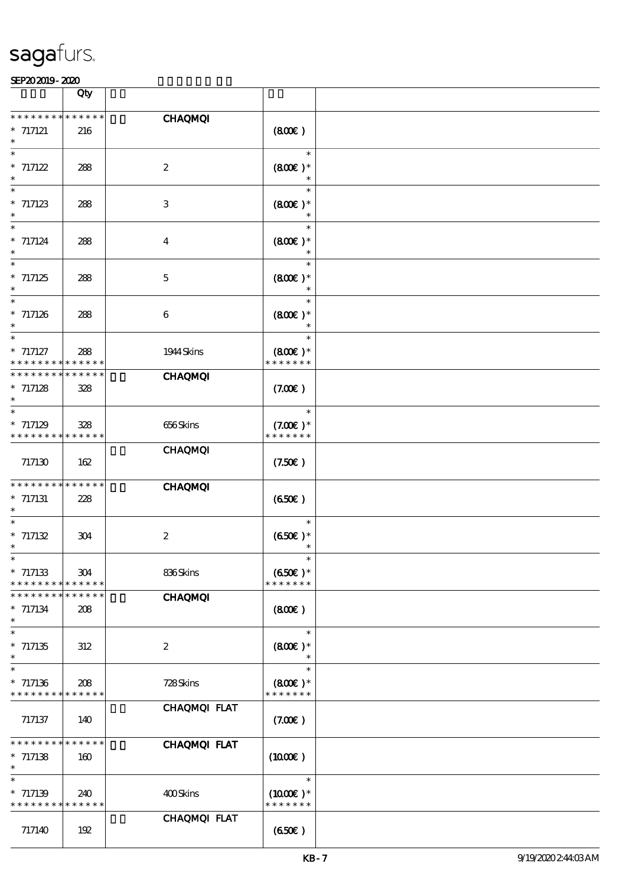|                                          | Qty                        |                  |                      |  |
|------------------------------------------|----------------------------|------------------|----------------------|--|
| * * * * * * *                            | * * * * * *                | <b>CHAQMQI</b>   |                      |  |
| $*$ 717121                               | 216                        |                  | (800)                |  |
| $\ast$                                   |                            |                  | $\ast$               |  |
| $* 717122$<br>$\ast$                     | 288                        | $\boldsymbol{2}$ | $(800)$ *<br>$\ast$  |  |
| $\ast$                                   |                            |                  | $\ast$               |  |
| $*717123$<br>$\ast$                      | 288                        | $\,3$            | $(800)$ *            |  |
| $\ast$                                   |                            |                  | $\ast$<br>$\ast$     |  |
| $* 717124$<br>$\ast$                     | 288                        | $\boldsymbol{4}$ | $(800)$ *            |  |
| $\ast$                                   |                            |                  | $\ast$<br>$\ast$     |  |
| $*717125$                                | 288                        | $\mathbf 5$      | $(800)$ *            |  |
| $\ast$<br>$\ast$                         |                            |                  | $\ast$               |  |
| $*717126$                                | 288                        | 6                | $(800)$ *            |  |
| $\overline{\phantom{1}}$                 |                            |                  | $\ast$               |  |
| $* 717127$                               | 288                        | 1944 Skins       | $(800)$ *            |  |
| * *<br>* * * * * * * *                   | * * * * * *<br>* * * * * * | <b>CHAQMQI</b>   | * * * * * * *        |  |
| $* 717128$                               | 328                        |                  | (7.00)               |  |
| $\ast$<br>$\ast$                         |                            |                  | $\ast$               |  |
| $*717129$                                | 328                        | 656Skins         | $(7.00)$ *           |  |
| * * * * * * * *                          | * * * * * *                | <b>CHAQMQI</b>   | * * * * * * *        |  |
| 717130                                   | 162                        |                  | (7.50)               |  |
| * * * * * * *                            | * * * * * *                | <b>CHAQMQI</b>   |                      |  |
| $*$ 717131                               | 228                        |                  | (650)                |  |
| $\ast$                                   |                            |                  | $\ast$               |  |
| $* 717132$                               | 304                        | $\boldsymbol{2}$ | $(650)$ *            |  |
| $\ast$<br>$\ast$                         |                            |                  |                      |  |
| $*717133$                                | 304                        | 836Skins         | $(650)$ *            |  |
| * * * * * * * *<br>* * * * * * * *       | * * * * * *<br>* * * * * * | <b>CHAQMQI</b>   | * * * * * * *        |  |
| $* 717134$                               | 208                        |                  | (800)                |  |
| $\ast$<br>$\ast$                         |                            |                  | $\ast$               |  |
| $*717135$                                | 312                        | $\boldsymbol{2}$ | $(800)$ *            |  |
| $\ast$<br>$\ast$                         |                            |                  | $\ast$<br>$\ast$     |  |
| $*717136$                                | 208                        | 728Skins         | $(800)$ *            |  |
| * * * * * * * *                          | * * * * * *                |                  | * * * * * * *        |  |
| 717137                                   | 140                        | CHAQMQI FLAT     | (7.00)               |  |
|                                          |                            |                  |                      |  |
| * * * * * * * *<br>$* 717138$            | * * * * * *<br>160         | CHAQMQI FLAT     | $(1000\varepsilon)$  |  |
| $\overline{\ast}$                        |                            |                  |                      |  |
| $* 717139$                               | 240                        | 400Skins         | $\ast$<br>$(1000E)*$ |  |
| * * * * * * * * <mark>* * * * * *</mark> |                            |                  | * * * * * * *        |  |
| 717140                                   | 192                        | CHAQMQI FLAT     | (650)                |  |
|                                          |                            |                  |                      |  |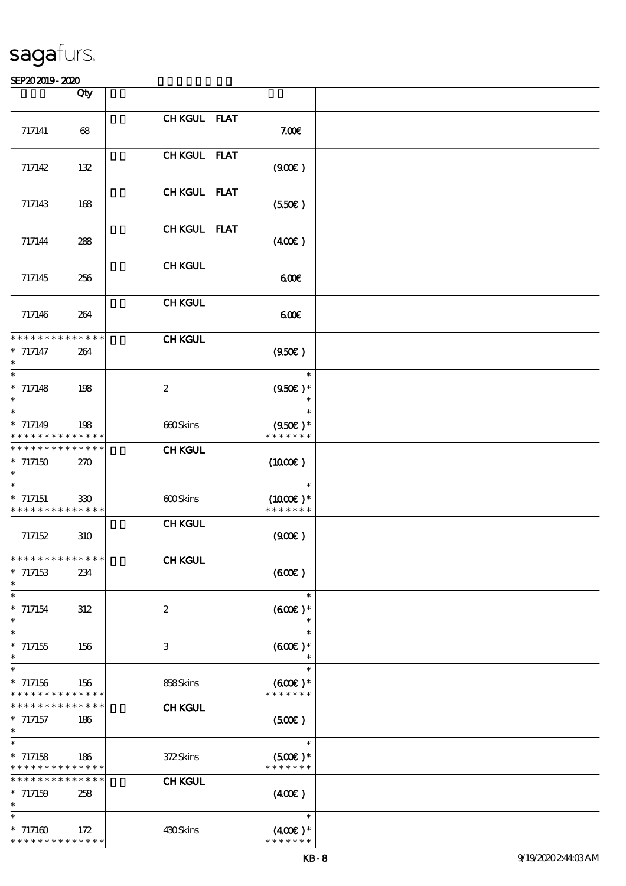|                                                                         | Qty         |                  |                                       |  |
|-------------------------------------------------------------------------|-------------|------------------|---------------------------------------|--|
|                                                                         |             | CHKGUL FLAT      |                                       |  |
| 717141                                                                  | 68          |                  | 7.00E                                 |  |
|                                                                         |             |                  |                                       |  |
|                                                                         |             | CHKGUL FLAT      |                                       |  |
| 717142                                                                  | 132         |                  | (900)                                 |  |
|                                                                         |             | CHKGUL FLAT      |                                       |  |
| 717143                                                                  | 168         |                  | (550)                                 |  |
|                                                                         |             |                  |                                       |  |
|                                                                         |             | CHKGUL FLAT      |                                       |  |
| 717144                                                                  | 288         |                  | (400)                                 |  |
|                                                                         |             | <b>CHKGUL</b>    |                                       |  |
| 717145                                                                  | 256         |                  | 600                                   |  |
|                                                                         |             |                  |                                       |  |
|                                                                         |             | <b>CHKGUL</b>    |                                       |  |
| 717146                                                                  | 264         |                  | 600                                   |  |
| ******** <mark>******</mark>                                            |             | <b>CHKGUL</b>    |                                       |  |
| $* 717147$                                                              | 264         |                  | (950)                                 |  |
| $\ast$                                                                  |             |                  |                                       |  |
| $\ast$                                                                  |             |                  | $\ast$                                |  |
| $* 717148$<br>$\ast$                                                    | 198         | $\boldsymbol{2}$ | $(950\epsilon)$ *<br>$\ast$           |  |
| $\ast$                                                                  |             |                  | $\ast$                                |  |
| $* 717149$                                                              | 198         | 660Skins         | $(950\epsilon)*$                      |  |
| * * * * * * * * * * * * * *                                             |             |                  | * * * * * * *                         |  |
| * * * * * * * * * * * * * *                                             |             | <b>CHKGUL</b>    |                                       |  |
| $*717150$                                                               | 270         |                  | $(1000\varepsilon)$                   |  |
| $\ast$                                                                  |             |                  | $\ast$                                |  |
| $*717151$                                                               | 330         | 600Skins         | $(1000E)*$                            |  |
| * * * * * * * * * * * * * *                                             |             |                  | * * * * * * *                         |  |
| 717152                                                                  | 310         | <b>CHKGUL</b>    | (90E)                                 |  |
|                                                                         |             |                  |                                       |  |
| **************                                                          |             | <b>CHKGUL</b>    |                                       |  |
| $*717153$<br>$\ast$                                                     | 234         |                  | (60E)                                 |  |
| $\ast$                                                                  |             |                  | $\ast$                                |  |
| $* 717154$                                                              | 312         | $\boldsymbol{z}$ | $(60E)*$                              |  |
| $\ast$                                                                  |             |                  |                                       |  |
| $\ast$                                                                  |             |                  | $\ast$                                |  |
| $*717155$<br>$\ast$                                                     | 156         | 3                | $(600)$ *                             |  |
| $\ast$                                                                  |             |                  | $\ast$                                |  |
| $*717156$                                                               | 156         | 858Skins         | $(600)$ *                             |  |
| * * * * * * * * * * * * * *<br>* * * * * * * *                          | * * * * * * |                  | * * * * * * *                         |  |
| $*717157$                                                               | 186         | <b>CHKGUL</b>    | (500)                                 |  |
| $\ast$                                                                  |             |                  |                                       |  |
| $\ast$                                                                  |             |                  | $\ast$                                |  |
| $*717158$                                                               | 186         | 372Skins         | $(500)$ *                             |  |
| * * * * * * * * * * * * * *<br>* * * * * * * * <mark>* * * * * *</mark> |             | <b>CHKGUL</b>    | * * * * * * *                         |  |
| $* 717159$                                                              | 258         |                  | (40E)                                 |  |
| $\ast$                                                                  |             |                  |                                       |  |
| $\ast$                                                                  |             |                  | $\ast$                                |  |
| $* 717160$<br>* * * * * * * * * * * * * *                               | 172         | 430Skins         | $(400\varepsilon)^*$<br>* * * * * * * |  |
|                                                                         |             |                  |                                       |  |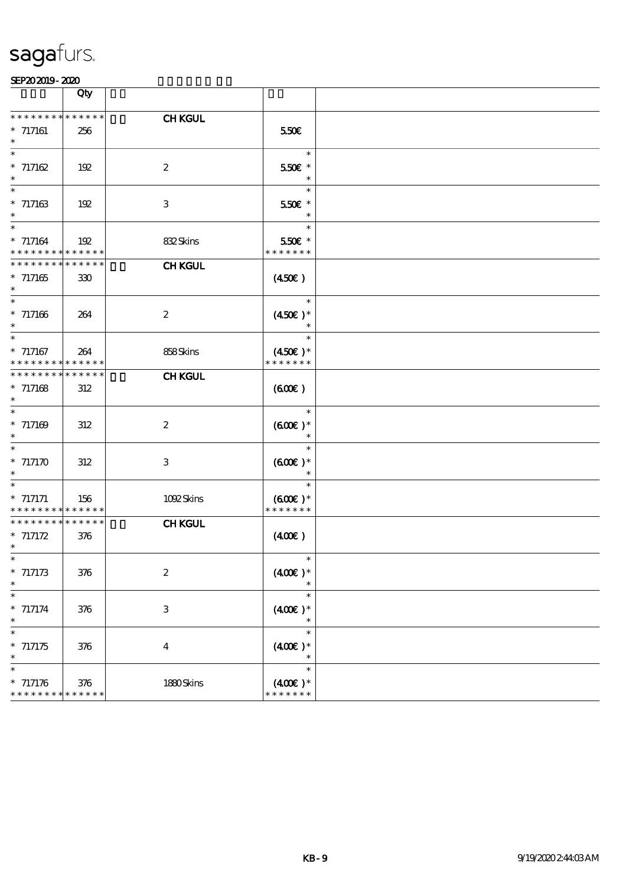|                                                     | Qty                |                  |                                                |  |
|-----------------------------------------------------|--------------------|------------------|------------------------------------------------|--|
| * * * * * * * * * * * * * *                         |                    | <b>CHKGUL</b>    |                                                |  |
| $* 717161$<br>$\ast$                                | 256                |                  | 550E                                           |  |
| $\ast$<br>$* 717162$<br>$\ast$                      | 192                | $\boldsymbol{2}$ | $\ast$<br>550€ *<br>$\ast$                     |  |
| $\ast$<br>$* 717163$<br>$\ast$                      | 192                | $\,3$            | $\ast$<br>550€ *<br>$\ast$                     |  |
| $\ast$<br>$* 717164$<br>* * * * * * * * * * * * * * | 192                | 832Skins         | $\ast$<br>550€ *<br>* * * * * * *              |  |
| * * * * * * * * * * * * * *<br>$*717165$<br>$\ast$  | 330                | <b>CHKGUL</b>    | (450)                                          |  |
| $\ast$<br>$* 717166$<br>$\ast$                      | 264                | $\boldsymbol{2}$ | $\ast$<br>$(450E)^*$                           |  |
| $\overline{\ast}$<br>$*$ 717167<br>* * * * * * * *  | 264<br>* * * * * * | 858Skins         | $\ast$<br>$(450\varepsilon)*$<br>* * * * * * * |  |
| * * * * * * * *<br>$* 717168$<br>$\ast$             | * * * * * *<br>312 | <b>CHKGUL</b>    | (60E)                                          |  |
| $\ast$<br>$* 717169$<br>$\ast$                      | 312                | $\boldsymbol{2}$ | $\ast$<br>$(600)$ *<br>$\ast$                  |  |
| $\ast$<br>$*$ 717170 $\,$<br>$\ast$                 | 312                | $\,3$            | $\ast$<br>$(600)$ *<br>$\ast$                  |  |
| $\ast$<br>$* 717171$<br>* * * * * * * * * * * * * * | 156                | 1092Skins        | $\ast$<br>$(600)$ *<br>* * * * * * *           |  |
| * * * * * * * * * * * * * *<br>$* 717172$<br>$\ast$ | 376                | <b>CHKGUL</b>    | (400)                                          |  |
| $* 717173$<br>$\ast$                                | 376                | $\boldsymbol{2}$ | $*$<br>$(400)$ *<br>$\ast$                     |  |
| $\ast$<br>$* 717174$<br>$\ast$                      | 376                | $\,3$            | $\ast$<br>$(400\varepsilon)*$<br>$\ast$        |  |
| $\ast$<br>$* 717175$<br>$\ast$                      | 376                | $\boldsymbol{4}$ | $\ast$<br>$(400)$ *<br>$\ast$                  |  |
| $\ast$<br>$* 717176$<br>* * * * * * * * * * * * * * | 376                | 1880Skins        | $\ast$<br>$(400E)*$<br>* * * * * * *           |  |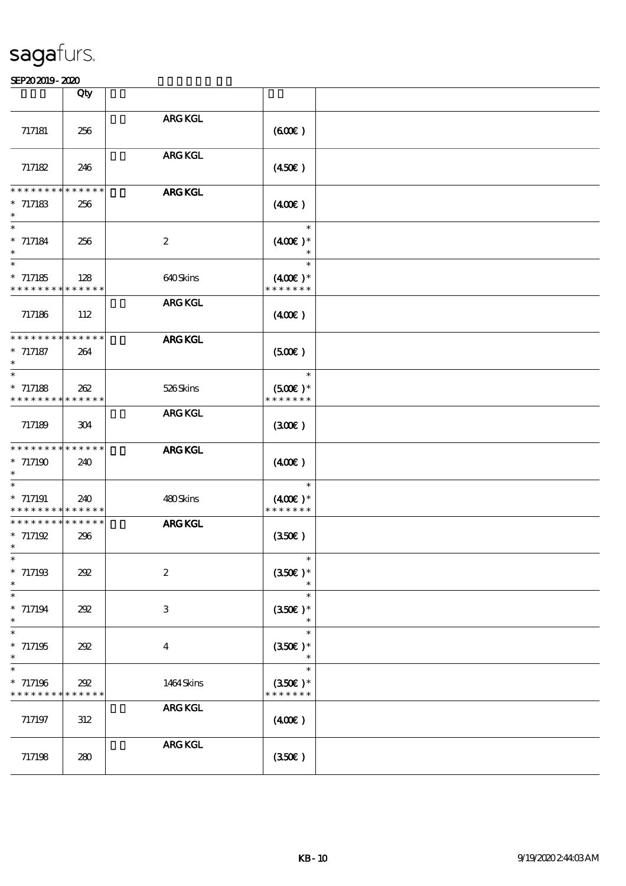|                                                            | Qty                |                           |                                       |  |
|------------------------------------------------------------|--------------------|---------------------------|---------------------------------------|--|
|                                                            |                    |                           |                                       |  |
| 717181                                                     | 256                | <b>ARG KGL</b>            | (60E)                                 |  |
| 717182                                                     | 246                | <b>ARG KGL</b>            | (450)                                 |  |
| * * * * * * * *                                            | * * * * * *        | <b>ARG KGL</b>            |                                       |  |
| $* 717183$<br>$\ast$                                       | 256                |                           | (40E)                                 |  |
| $\ast$<br>$* 717184$<br>$\ast$<br>$\overline{\phantom{a}}$ | 256                | $\boldsymbol{2}$          | $\ast$<br>$(400)$ *<br>$\ast$         |  |
| $*717185$<br>* * * * * * * * * * * * * *                   | 128                | 640Skins                  | $\ast$<br>$(400E)^*$<br>* * * * * * * |  |
| 717186                                                     | 112                | <b>ARG KGL</b>            | $(400\varepsilon)$                    |  |
| * * * * * * * * * * * * * *<br>$* 717187$                  | 264                | <b>ARG KGL</b>            | (500)                                 |  |
| $\ast$                                                     |                    |                           | $\ast$                                |  |
| $* 717188$<br>* * * * * * * * * * * * * *                  | 262                | 526Skins                  | $(500)$ *<br>* * * * * * *            |  |
| 717189                                                     | 304                | <b>ARG KGL</b>            | (30E)                                 |  |
| * * * * * * * * * * * * * *                                |                    | <b>ARG KGL</b>            |                                       |  |
| $*717190$<br>$\ast$<br>$\ast$                              | 240                |                           | (40E)<br>$\ast$                       |  |
| $*717191$<br>* * * * * * * * <mark>* * * * * *</mark>      | 240                | 480Skins                  | $(400E)*$<br>* * * * * * *            |  |
| * * * * * * * * * * * * * *<br>$* 717192$<br>$\ast$        | 296                | <b>ARG KGL</b>            | (350)                                 |  |
| ∗<br>$*717193$<br>$\ast$                                   | 202                | $\boldsymbol{z}$          | $(350E)*$                             |  |
| $\ast$<br>$* 717194$<br>$\ast$                             | 202                | $\ensuremath{\mathbf{3}}$ | $\ast$<br>$(350\epsilon)*$<br>$\ast$  |  |
| $\ast$<br>$*717195$<br>$\ast$                              | 202                | $\boldsymbol{4}$          | $\ast$<br>$(350\epsilon)*$<br>$\ast$  |  |
| $\ast$<br>$*717196$<br>* * * * * * * *                     | 292<br>* * * * * * | 1464 Skins                | $\ast$<br>$(350E)*$<br>* * * * * * *  |  |
| 717197                                                     | 312                | <b>ARG KGL</b>            | (400)                                 |  |
| 717198                                                     | 280                | ARG KGL                   | (350)                                 |  |